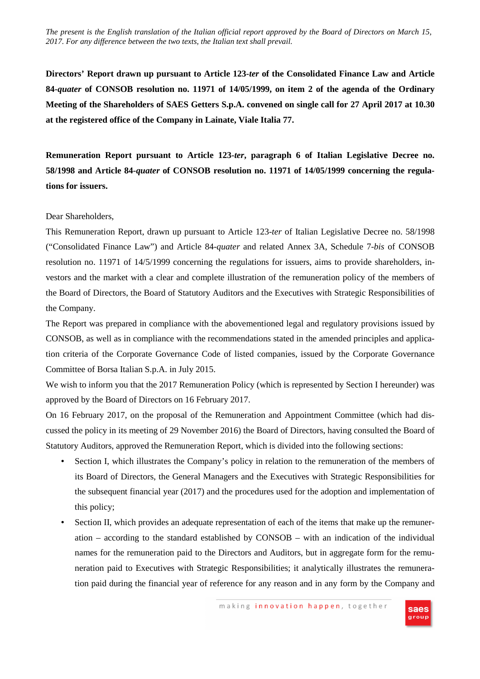*The present is the English translation of the Italian official report approved by the Board of Directors on March 15, 2017. For any difference between the two texts, the Italian text shall prevail.*

**Directors' Report drawn up pursuant to Article 123-***ter* **of the Consolidated Finance Law and Article 84-***quater* **of CONSOB resolution no. 11971 of 14/05/1999, on item 2 of the agenda of the Ordinary Meeting of the Shareholders of SAES Getters S.p.A. convened on single call for 27 April 2017 at 10.30 at the registered office of the Company in Lainate, Viale Italia 77.** 

**Remuneration Report pursuant to Article 123-***ter***, paragraph 6 of Italian Legislative Decree no. 58/1998 and Article 84-***quater* **of CONSOB resolution no. 11971 of 14/05/1999 concerning the regulations for issuers.** 

### Dear Shareholders,

This Remuneration Report, drawn up pursuant to Article 123-*ter* of Italian Legislative Decree no. 58/1998 ("Consolidated Finance Law") and Article 84-*quater* and related Annex 3A, Schedule 7-*bis* of CONSOB resolution no. 11971 of 14/5/1999 concerning the regulations for issuers, aims to provide shareholders, investors and the market with a clear and complete illustration of the remuneration policy of the members of the Board of Directors, the Board of Statutory Auditors and the Executives with Strategic Responsibilities of the Company.

The Report was prepared in compliance with the abovementioned legal and regulatory provisions issued by CONSOB, as well as in compliance with the recommendations stated in the amended principles and application criteria of the Corporate Governance Code of listed companies, issued by the Corporate Governance Committee of Borsa Italian S.p.A. in July 2015.

We wish to inform you that the 2017 Remuneration Policy (which is represented by Section I hereunder) was approved by the Board of Directors on 16 February 2017.

On 16 February 2017, on the proposal of the Remuneration and Appointment Committee (which had discussed the policy in its meeting of 29 November 2016) the Board of Directors, having consulted the Board of Statutory Auditors, approved the Remuneration Report, which is divided into the following sections:

- Section I, which illustrates the Company's policy in relation to the remuneration of the members of its Board of Directors, the General Managers and the Executives with Strategic Responsibilities for the subsequent financial year (2017) and the procedures used for the adoption and implementation of this policy;
- Section II, which provides an adequate representation of each of the items that make up the remuneration – according to the standard established by CONSOB – with an indication of the individual names for the remuneration paid to the Directors and Auditors, but in aggregate form for the remuneration paid to Executives with Strategic Responsibilities; it analytically illustrates the remuneration paid during the financial year of reference for any reason and in any form by the Company and

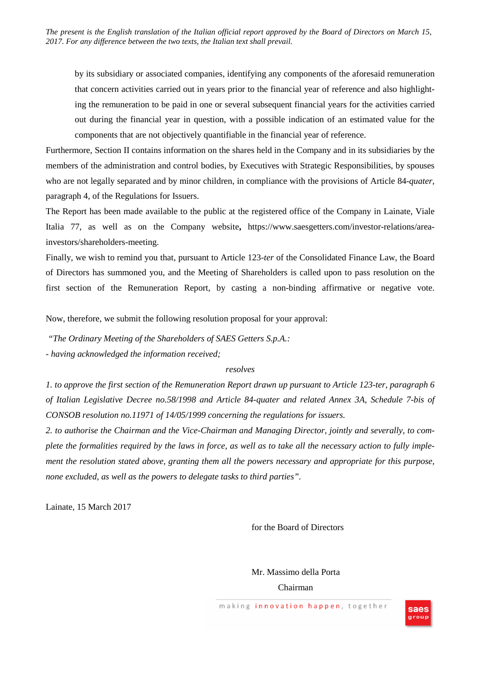*The present is the English translation of the Italian official report approved by the Board of Directors on March 15, 2017. For any difference between the two texts, the Italian text shall prevail.*

by its subsidiary or associated companies, identifying any components of the aforesaid remuneration that concern activities carried out in years prior to the financial year of reference and also highlighting the remuneration to be paid in one or several subsequent financial years for the activities carried out during the financial year in question, with a possible indication of an estimated value for the components that are not objectively quantifiable in the financial year of reference.

Furthermore, Section II contains information on the shares held in the Company and in its subsidiaries by the members of the administration and control bodies, by Executives with Strategic Responsibilities, by spouses who are not legally separated and by minor children, in compliance with the provisions of Article 84-*quater,* paragraph 4, of the Regulations for Issuers.

The Report has been made available to the public at the registered office of the Company in Lainate, Viale Italia 77, as well as on the Company website**,** https://www.saesgetters.com/investor-relations/areainvestors/shareholders-meeting.

Finally, we wish to remind you that, pursuant to Article 123-*ter* of the Consolidated Finance Law, the Board of Directors has summoned you, and the Meeting of Shareholders is called upon to pass resolution on the first section of the Remuneration Report, by casting a non-binding affirmative or negative vote.

Now, therefore, we submit the following resolution proposal for your approval:

*"The Ordinary Meeting of the Shareholders of SAES Getters S.p.A.:* 

*- having acknowledged the information received;* 

### *resolves*

*1. to approve the first section of the Remuneration Report drawn up pursuant to Article 123-ter, paragraph 6 of Italian Legislative Decree no.58/1998 and Article 84-quater and related Annex 3A, Schedule 7-bis of CONSOB resolution no.11971 of 14/05/1999 concerning the regulations for issuers.* 

*2. to authorise the Chairman and the Vice-Chairman and Managing Director, jointly and severally, to complete the formalities required by the laws in force, as well as to take all the necessary action to fully implement the resolution stated above, granting them all the powers necessary and appropriate for this purpose, none excluded, as well as the powers to delegate tasks to third parties".* 

Lainate, 15 March 2017

### for the Board of Directors

Mr. Massimo della Porta Chairman

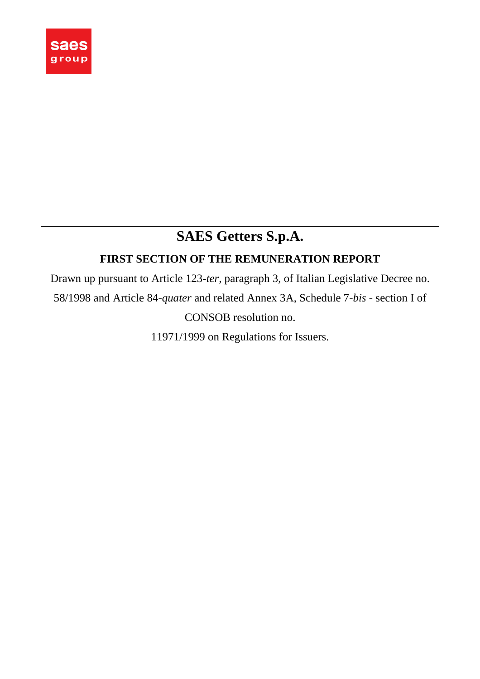

# **SAES Getters S.p.A.**

## **FIRST SECTION OF THE REMUNERATION REPORT**

Drawn up pursuant to Article 123-*ter*, paragraph 3, of Italian Legislative Decree no. 58/1998 and Article 84-*quater* and related Annex 3A, Schedule 7-*bis* - section I of

CONSOB resolution no.

11971/1999 on Regulations for Issuers.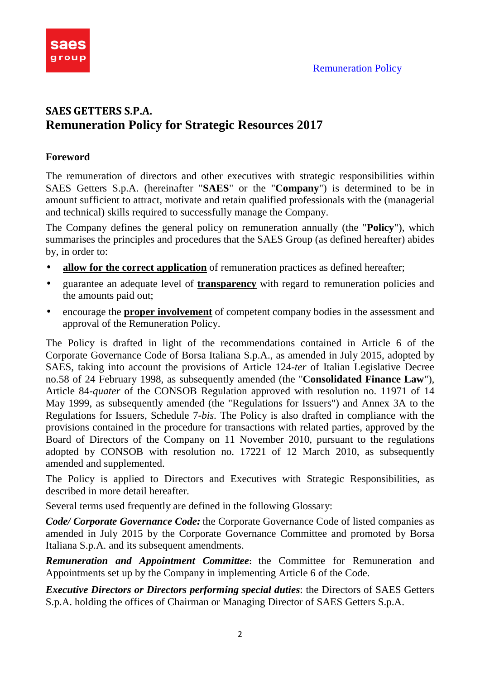

## **SAES GETTERS S.P.A. Remuneration Policy for Strategic Resources 2017**

### **Foreword**

The remuneration of directors and other executives with strategic responsibilities within SAES Getters S.p.A. (hereinafter "**SAES**" or the "**Company**") is determined to be in amount sufficient to attract, motivate and retain qualified professionals with the (managerial and technical) skills required to successfully manage the Company.

The Company defines the general policy on remuneration annually (the "**Policy**"), which summarises the principles and procedures that the SAES Group (as defined hereafter) abides by, in order to:

- **allow for the correct application** of remuneration practices as defined hereafter;
- guarantee an adequate level of **transparency** with regard to remuneration policies and the amounts paid out;
- encourage the **proper involvement** of competent company bodies in the assessment and approval of the Remuneration Policy.

The Policy is drafted in light of the recommendations contained in Article 6 of the Corporate Governance Code of Borsa Italiana S.p.A., as amended in July 2015, adopted by SAES, taking into account the provisions of Article 124-*ter* of Italian Legislative Decree no.58 of 24 February 1998, as subsequently amended (the "**Consolidated Finance Law**"), Article 84-*quater* of the CONSOB Regulation approved with resolution no. 11971 of 14 May 1999, as subsequently amended (the "Regulations for Issuers") and Annex 3A to the Regulations for Issuers, Schedule 7-*bis*. The Policy is also drafted in compliance with the provisions contained in the procedure for transactions with related parties, approved by the Board of Directors of the Company on 11 November 2010, pursuant to the regulations adopted by CONSOB with resolution no. 17221 of 12 March 2010, as subsequently amended and supplemented.

The Policy is applied to Directors and Executives with Strategic Responsibilities, as described in more detail hereafter.

Several terms used frequently are defined in the following Glossary:

*Code/ Corporate Governance Code:* the Corporate Governance Code of listed companies as amended in July 2015 by the Corporate Governance Committee and promoted by Borsa Italiana S.p.A. and its subsequent amendments.

*Remuneration and Appointment Committee***:** the Committee for Remuneration and Appointments set up by the Company in implementing Article 6 of the Code.

*Executive Directors or Directors performing special duties*: the Directors of SAES Getters S.p.A. holding the offices of Chairman or Managing Director of SAES Getters S.p.A.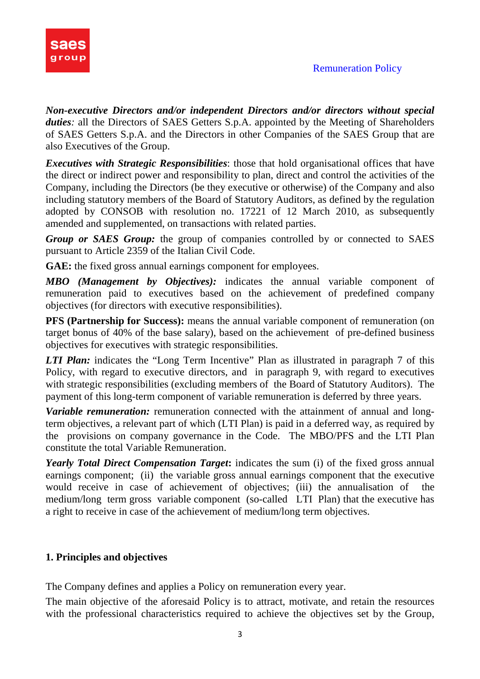

*Non-executive Directors and/or independent Directors and/or directors without special duties*: all the Directors of SAES Getters S.p.A. appointed by the Meeting of Shareholders of SAES Getters S.p.A. and the Directors in other Companies of the SAES Group that are also Executives of the Group.

*Executives with Strategic Responsibilities*: those that hold organisational offices that have the direct or indirect power and responsibility to plan, direct and control the activities of the Company, including the Directors (be they executive or otherwise) of the Company and also including statutory members of the Board of Statutory Auditors, as defined by the regulation adopted by CONSOB with resolution no. 17221 of 12 March 2010, as subsequently amended and supplemented, on transactions with related parties.

*Group or SAES Group:* the group of companies controlled by or connected to SAES pursuant to Article 2359 of the Italian Civil Code.

**GAE:** the fixed gross annual earnings component for employees.

*MBO (Management by Objectives):* indicates the annual variable component of remuneration paid to executives based on the achievement of predefined company objectives (for directors with executive responsibilities).

**PFS (Partnership for Success):** means the annual variable component of remuneration (on target bonus of 40% of the base salary), based on the achievement of pre-defined business objectives for executives with strategic responsibilities.

*LTI Plan:* indicates the "Long Term Incentive" Plan as illustrated in paragraph 7 of this Policy, with regard to executive directors, and in paragraph 9, with regard to executives with strategic responsibilities (excluding members of the Board of Statutory Auditors). The payment of this long-term component of variable remuneration is deferred by three years.

*Variable remuneration:* remuneration connected with the attainment of annual and longterm objectives, a relevant part of which (LTI Plan) is paid in a deferred way, as required by the provisions on company governance in the Code. The MBO/PFS and the LTI Plan constitute the total Variable Remuneration.

*Yearly Total Direct Compensation Target***:** indicates the sum (i) of the fixed gross annual earnings component; (ii) the variable gross annual earnings component that the executive would receive in case of achievement of objectives; (iii) the annualisation of the medium/long term gross variable component (so-called LTI Plan) that the executive has a right to receive in case of the achievement of medium/long term objectives.

### **1. Principles and objectives**

The Company defines and applies a Policy on remuneration every year.

The main objective of the aforesaid Policy is to attract, motivate, and retain the resources with the professional characteristics required to achieve the objectives set by the Group,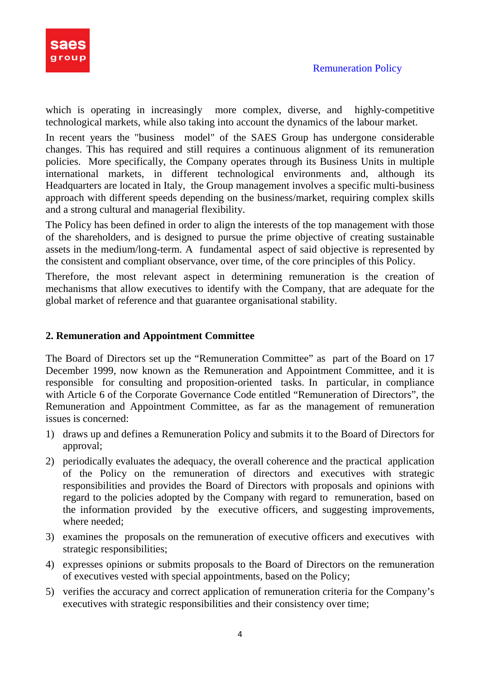

which is operating in increasingly more complex, diverse, and highly-competitive technological markets, while also taking into account the dynamics of the labour market.

In recent years the "business model" of the SAES Group has undergone considerable changes. This has required and still requires a continuous alignment of its remuneration policies. More specifically, the Company operates through its Business Units in multiple international markets, in different technological environments and, although its Headquarters are located in Italy, the Group management involves a specific multi-business approach with different speeds depending on the business/market, requiring complex skills and a strong cultural and managerial flexibility.

The Policy has been defined in order to align the interests of the top management with those of the shareholders, and is designed to pursue the prime objective of creating sustainable assets in the medium/long-term. A fundamental aspect of said objective is represented by the consistent and compliant observance, over time, of the core principles of this Policy.

Therefore, the most relevant aspect in determining remuneration is the creation of mechanisms that allow executives to identify with the Company, that are adequate for the global market of reference and that guarantee organisational stability.

### **2. Remuneration and Appointment Committee**

The Board of Directors set up the "Remuneration Committee" as part of the Board on 17 December 1999, now known as the Remuneration and Appointment Committee, and it is responsible for consulting and proposition-oriented tasks. In particular, in compliance with Article 6 of the Corporate Governance Code entitled "Remuneration of Directors", the Remuneration and Appointment Committee, as far as the management of remuneration issues is concerned:

- 1) draws up and defines a Remuneration Policy and submits it to the Board of Directors for approval;
- 2) periodically evaluates the adequacy, the overall coherence and the practical application of the Policy on the remuneration of directors and executives with strategic responsibilities and provides the Board of Directors with proposals and opinions with regard to the policies adopted by the Company with regard to remuneration, based on the information provided by the executive officers, and suggesting improvements, where needed;
- 3) examines the proposals on the remuneration of executive officers and executives with strategic responsibilities;
- 4) expresses opinions or submits proposals to the Board of Directors on the remuneration of executives vested with special appointments, based on the Policy;
- 5) verifies the accuracy and correct application of remuneration criteria for the Company's executives with strategic responsibilities and their consistency over time;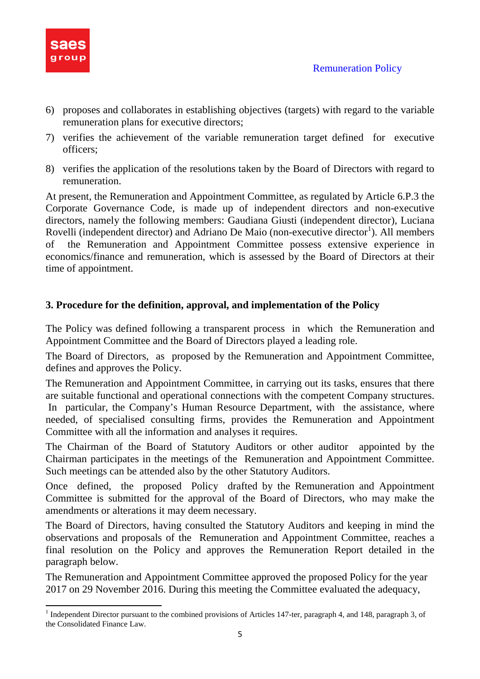

 $\overline{a}$ 

- 6) proposes and collaborates in establishing objectives (targets) with regard to the variable remuneration plans for executive directors;
- 7) verifies the achievement of the variable remuneration target defined for executive officers;
- 8) verifies the application of the resolutions taken by the Board of Directors with regard to remuneration.

At present, the Remuneration and Appointment Committee, as regulated by Article 6.P.3 the Corporate Governance Code, is made up of independent directors and non-executive directors, namely the following members: Gaudiana Giusti (independent director), Luciana Rovelli (independent director) and Adriano De Maio (non-executive director<sup>1</sup>). All members of the Remuneration and Appointment Committee possess extensive experience in economics/finance and remuneration, which is assessed by the Board of Directors at their time of appointment.

### **3. Procedure for the definition, approval, and implementation of the Policy**

The Policy was defined following a transparent process in which the Remuneration and Appointment Committee and the Board of Directors played a leading role.

The Board of Directors, as proposed by the Remuneration and Appointment Committee, defines and approves the Policy.

The Remuneration and Appointment Committee, in carrying out its tasks, ensures that there are suitable functional and operational connections with the competent Company structures. In particular, the Company's Human Resource Department, with the assistance, where needed, of specialised consulting firms, provides the Remuneration and Appointment Committee with all the information and analyses it requires.

The Chairman of the Board of Statutory Auditors or other auditor appointed by the Chairman participates in the meetings of the Remuneration and Appointment Committee. Such meetings can be attended also by the other Statutory Auditors.

Once defined, the proposed Policy drafted by the Remuneration and Appointment Committee is submitted for the approval of the Board of Directors, who may make the amendments or alterations it may deem necessary.

The Board of Directors, having consulted the Statutory Auditors and keeping in mind the observations and proposals of the Remuneration and Appointment Committee, reaches a final resolution on the Policy and approves the Remuneration Report detailed in the paragraph below.

The Remuneration and Appointment Committee approved the proposed Policy for the year 2017 on 29 November 2016. During this meeting the Committee evaluated the adequacy,

<sup>&</sup>lt;sup>1</sup> Independent Director pursuant to the combined provisions of Articles 147-ter, paragraph 4, and 148, paragraph 3, of the Consolidated Finance Law.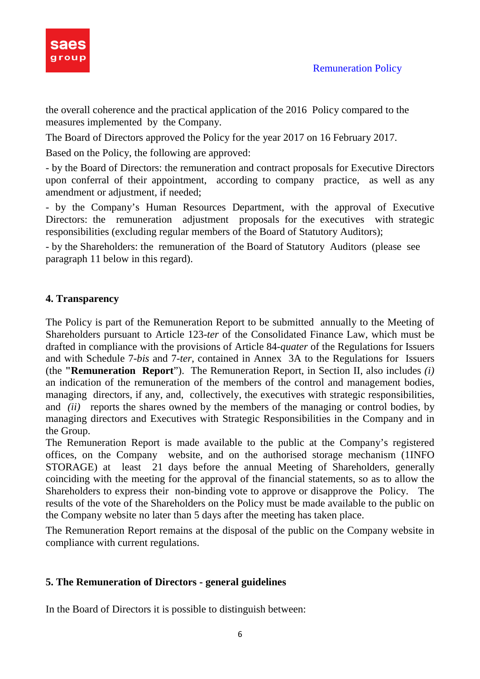

the overall coherence and the practical application of the 2016 Policy compared to the measures implemented by the Company.

The Board of Directors approved the Policy for the year 2017 on 16 February 2017.

Based on the Policy, the following are approved:

- by the Board of Directors: the remuneration and contract proposals for Executive Directors upon conferral of their appointment, according to company practice, as well as any amendment or adjustment, if needed;

- by the Company's Human Resources Department, with the approval of Executive Directors: the remuneration adjustment proposals for the executives with strategic responsibilities (excluding regular members of the Board of Statutory Auditors);

- by the Shareholders: the remuneration of the Board of Statutory Auditors (please see paragraph 11 below in this regard).

### **4. Transparency**

The Policy is part of the Remuneration Report to be submitted annually to the Meeting of Shareholders pursuant to Article 123-*ter* of the Consolidated Finance Law, which must be drafted in compliance with the provisions of Article 84-*quater* of the Regulations for Issuers and with Schedule 7-*bis* and 7-*ter*, contained in Annex 3A to the Regulations for Issuers (the **"Remuneration Report**"). The Remuneration Report, in Section II, also includes *(i)* an indication of the remuneration of the members of the control and management bodies, managing directors, if any, and, collectively, the executives with strategic responsibilities, and *(ii)* reports the shares owned by the members of the managing or control bodies, by managing directors and Executives with Strategic Responsibilities in the Company and in the Group.

The Remuneration Report is made available to the public at the Company's registered offices, on the Company website, and on the authorised storage mechanism (1INFO STORAGE) at least 21 days before the annual Meeting of Shareholders, generally coinciding with the meeting for the approval of the financial statements, so as to allow the Shareholders to express their non-binding vote to approve or disapprove the Policy. The results of the vote of the Shareholders on the Policy must be made available to the public on the Company website no later than 5 days after the meeting has taken place.

The Remuneration Report remains at the disposal of the public on the Company website in compliance with current regulations.

### **5. The Remuneration of Directors - general guidelines**

In the Board of Directors it is possible to distinguish between: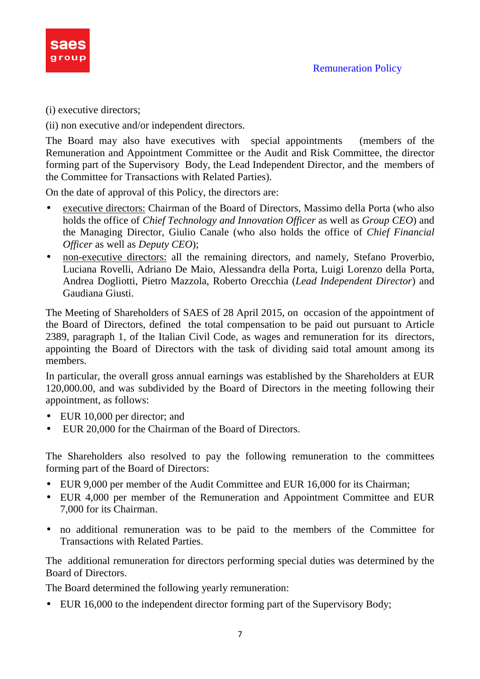

(i) executive directors;

(ii) non executive and/or independent directors.

The Board may also have executives with special appointments (members of the Remuneration and Appointment Committee or the Audit and Risk Committee, the director forming part of the Supervisory Body, the Lead Independent Director, and the members of the Committee for Transactions with Related Parties).

On the date of approval of this Policy, the directors are:

- executive directors: Chairman of the Board of Directors, Massimo della Porta (who also holds the office of *Chief Technology and Innovation Officer* as well as *Group CEO*) and the Managing Director, Giulio Canale (who also holds the office of *Chief Financial Officer* as well as *Deputy CEO*);
- non-executive directors: all the remaining directors, and namely, Stefano Proverbio, Luciana Rovelli, Adriano De Maio, Alessandra della Porta, Luigi Lorenzo della Porta, Andrea Dogliotti, Pietro Mazzola, Roberto Orecchia (*Lead Independent Director*) and Gaudiana Giusti.

The Meeting of Shareholders of SAES of 28 April 2015, on occasion of the appointment of the Board of Directors, defined the total compensation to be paid out pursuant to Article 2389, paragraph 1, of the Italian Civil Code, as wages and remuneration for its directors, appointing the Board of Directors with the task of dividing said total amount among its members.

In particular, the overall gross annual earnings was established by the Shareholders at EUR 120,000.00, and was subdivided by the Board of Directors in the meeting following their appointment, as follows:

- EUR 10,000 per director; and
- EUR 20,000 for the Chairman of the Board of Directors.

The Shareholders also resolved to pay the following remuneration to the committees forming part of the Board of Directors:

- EUR 9,000 per member of the Audit Committee and EUR 16,000 for its Chairman;
- EUR 4,000 per member of the Remuneration and Appointment Committee and EUR 7,000 for its Chairman.
- no additional remuneration was to be paid to the members of the Committee for Transactions with Related Parties.

The additional remuneration for directors performing special duties was determined by the Board of Directors.

The Board determined the following yearly remuneration:

• EUR 16,000 to the independent director forming part of the Supervisory Body;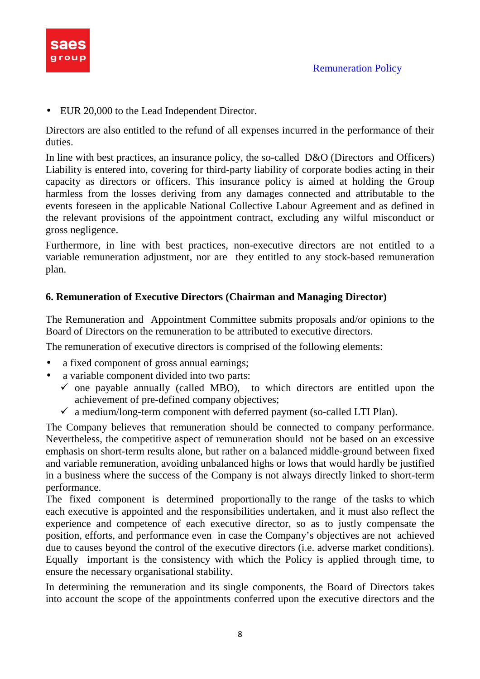

• EUR 20,000 to the Lead Independent Director.

Directors are also entitled to the refund of all expenses incurred in the performance of their duties.

In line with best practices, an insurance policy, the so-called D&O (Directors and Officers) Liability is entered into, covering for third-party liability of corporate bodies acting in their capacity as directors or officers. This insurance policy is aimed at holding the Group harmless from the losses deriving from any damages connected and attributable to the events foreseen in the applicable National Collective Labour Agreement and as defined in the relevant provisions of the appointment contract, excluding any wilful misconduct or gross negligence.

Furthermore, in line with best practices, non-executive directors are not entitled to a variable remuneration adjustment, nor are they entitled to any stock-based remuneration plan.

### **6. Remuneration of Executive Directors (Chairman and Managing Director)**

The Remuneration and Appointment Committee submits proposals and/or opinions to the Board of Directors on the remuneration to be attributed to executive directors.

The remuneration of executive directors is comprised of the following elements:

- a fixed component of gross annual earnings;
- a variable component divided into two parts:
	- $\checkmark$  one payable annually (called MBO), to which directors are entitled upon the achievement of pre-defined company objectives;
	- $\checkmark$  a medium/long-term component with deferred payment (so-called LTI Plan).

The Company believes that remuneration should be connected to company performance. Nevertheless, the competitive aspect of remuneration should not be based on an excessive emphasis on short-term results alone, but rather on a balanced middle-ground between fixed and variable remuneration, avoiding unbalanced highs or lows that would hardly be justified in a business where the success of the Company is not always directly linked to short-term performance.

The fixed component is determined proportionally to the range of the tasks to which each executive is appointed and the responsibilities undertaken, and it must also reflect the experience and competence of each executive director, so as to justly compensate the position, efforts, and performance even in case the Company's objectives are not achieved due to causes beyond the control of the executive directors (i.e. adverse market conditions). Equally important is the consistency with which the Policy is applied through time, to ensure the necessary organisational stability.

In determining the remuneration and its single components, the Board of Directors takes into account the scope of the appointments conferred upon the executive directors and the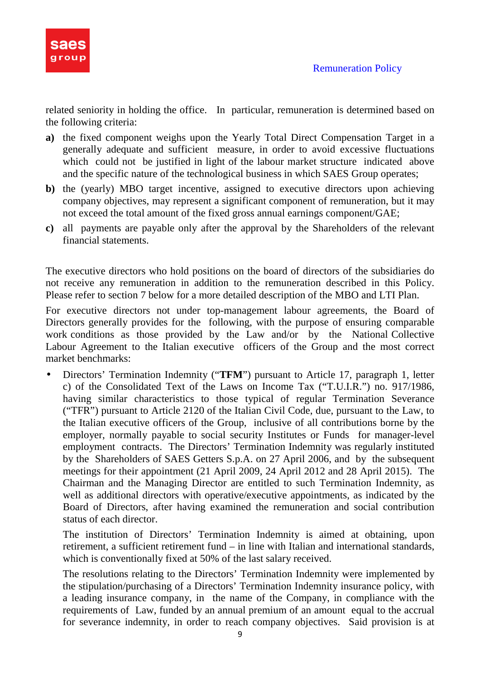

related seniority in holding the office. In particular, remuneration is determined based on the following criteria:

- **a)** the fixed component weighs upon the Yearly Total Direct Compensation Target in a generally adequate and sufficient measure, in order to avoid excessive fluctuations which could not be justified in light of the labour market structure indicated above and the specific nature of the technological business in which SAES Group operates;
- **b**) the (yearly) MBO target incentive, assigned to executive directors upon achieving company objectives, may represent a significant component of remuneration, but it may not exceed the total amount of the fixed gross annual earnings component/GAE;
- **c)** all payments are payable only after the approval by the Shareholders of the relevant financial statements.

The executive directors who hold positions on the board of directors of the subsidiaries do not receive any remuneration in addition to the remuneration described in this Policy. Please refer to section 7 below for a more detailed description of the MBO and LTI Plan.

For executive directors not under top-management labour agreements, the Board of Directors generally provides for the following, with the purpose of ensuring comparable work conditions as those provided by the Law and/or by the National Collective Labour Agreement to the Italian executive officers of the Group and the most correct market benchmarks:

• Directors' Termination Indemnity ("**TFM**") pursuant to Article 17, paragraph 1, letter c) of the Consolidated Text of the Laws on Income Tax ("T.U.I.R.") no. 917/1986, having similar characteristics to those typical of regular Termination Severance ("TFR") pursuant to Article 2120 of the Italian Civil Code, due, pursuant to the Law, to the Italian executive officers of the Group, inclusive of all contributions borne by the employer, normally payable to social security Institutes or Funds for manager-level employment contracts. The Directors' Termination Indemnity was regularly instituted by the Shareholders of SAES Getters S.p.A. on 27 April 2006, and by the subsequent meetings for their appointment (21 April 2009, 24 April 2012 and 28 April 2015). The Chairman and the Managing Director are entitled to such Termination Indemnity, as well as additional directors with operative/executive appointments, as indicated by the Board of Directors, after having examined the remuneration and social contribution status of each director.

The institution of Directors' Termination Indemnity is aimed at obtaining, upon retirement, a sufficient retirement fund – in line with Italian and international standards, which is conventionally fixed at 50% of the last salary received.

The resolutions relating to the Directors' Termination Indemnity were implemented by the stipulation/purchasing of a Directors' Termination Indemnity insurance policy, with a leading insurance company, in the name of the Company, in compliance with the requirements of Law, funded by an annual premium of an amount equal to the accrual for severance indemnity, in order to reach company objectives. Said provision is at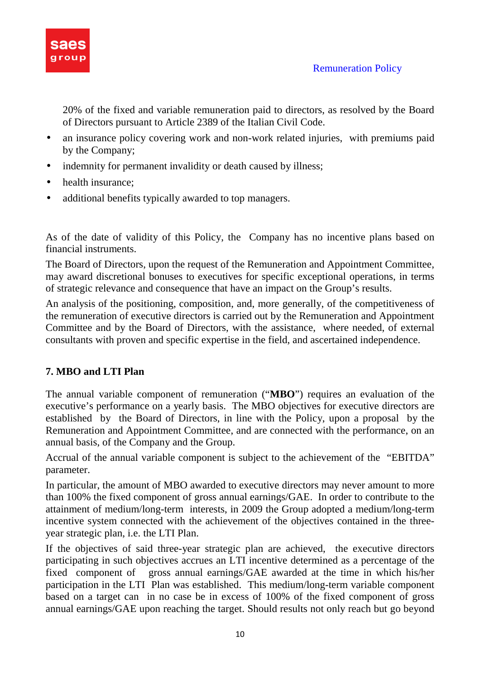

20% of the fixed and variable remuneration paid to directors, as resolved by the Board of Directors pursuant to Article 2389 of the Italian Civil Code.

- an insurance policy covering work and non-work related injuries, with premiums paid by the Company;
- indemnity for permanent invalidity or death caused by illness;
- health insurance:
- additional benefits typically awarded to top managers.

As of the date of validity of this Policy, the Company has no incentive plans based on financial instruments.

The Board of Directors, upon the request of the Remuneration and Appointment Committee, may award discretional bonuses to executives for specific exceptional operations, in terms of strategic relevance and consequence that have an impact on the Group's results.

An analysis of the positioning, composition, and, more generally, of the competitiveness of the remuneration of executive directors is carried out by the Remuneration and Appointment Committee and by the Board of Directors, with the assistance, where needed, of external consultants with proven and specific expertise in the field, and ascertained independence.

### **7. MBO and LTI Plan**

The annual variable component of remuneration ("**MBO**") requires an evaluation of the executive's performance on a yearly basis. The MBO objectives for executive directors are established by the Board of Directors, in line with the Policy, upon a proposal by the Remuneration and Appointment Committee, and are connected with the performance, on an annual basis, of the Company and the Group.

Accrual of the annual variable component is subject to the achievement of the "EBITDA" parameter.

In particular, the amount of MBO awarded to executive directors may never amount to more than 100% the fixed component of gross annual earnings/GAE. In order to contribute to the attainment of medium/long-term interests, in 2009 the Group adopted a medium/long-term incentive system connected with the achievement of the objectives contained in the threeyear strategic plan, i.e. the LTI Plan.

If the objectives of said three-year strategic plan are achieved, the executive directors participating in such objectives accrues an LTI incentive determined as a percentage of the fixed component of gross annual earnings/GAE awarded at the time in which his/her participation in the LTI Plan was established. This medium/long-term variable component based on a target can in no case be in excess of 100% of the fixed component of gross annual earnings/GAE upon reaching the target. Should results not only reach but go beyond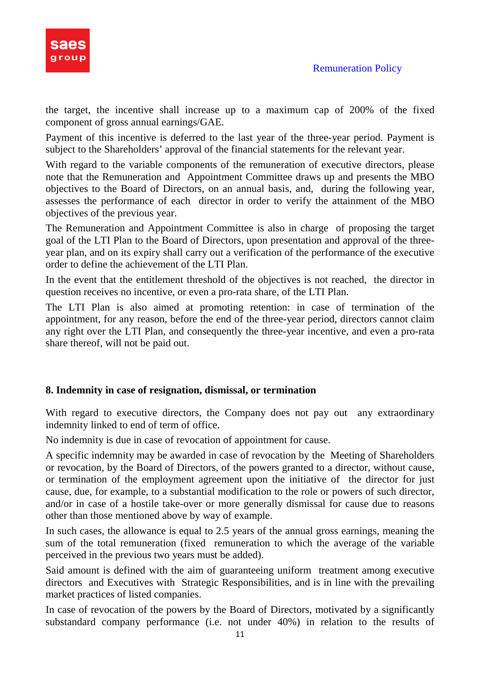

the target, the incentive shall increase up to a maximum cap of 200% of the fixed component of gross annual earnings/GAE.

Payment of this incentive is deferred to the last year of the three-year period. Payment is subject to the Shareholders' approval of the financial statements for the relevant year.

With regard to the variable components of the remuneration of executive directors, please note that the Remuneration and Appointment Committee draws up and presents the MBO objectives to the Board of Directors, on an annual basis, and, during the following year, assesses the performance of each director in order to verify the attainment of the MBO objectives of the previous year.

The Remuneration and Appointment Committee is also in charge of proposing the target goal of the LTI Plan to the Board of Directors, upon presentation and approval of the threeyear plan, and on its expiry shall carry out a verification of the performance of the executive order to define the achievement of the LTI Plan.

In the event that the entitlement threshold of the objectives is not reached, the director in question receives no incentive, or even a pro-rata share, of the LTI Plan.

The LTI Plan is also aimed at promoting retention: in case of termination of the appointment, for any reason, before the end of the three-year period, directors cannot claim any right over the LTI Plan, and consequently the three-year incentive, and even a pro-rata share thereof, will not be paid out.

### **8. Indemnity in case of resignation, dismissal, or termination**

With regard to executive directors, the Company does not pay out any extraordinary indemnity linked to end of term of office.

No indemnity is due in case of revocation of appointment for cause.

A specific indemnity may be awarded in case of revocation by the Meeting of Shareholders or revocation, by the Board of Directors, of the powers granted to a director, without cause, or termination of the employment agreement upon the initiative of the director for just cause, due, for example, to a substantial modification to the role or powers of such director, and/or in case of a hostile take-over or more generally dismissal for cause due to reasons other than those mentioned above by way of example.

In such cases, the allowance is equal to 2.5 years of the annual gross earnings, meaning the sum of the total remuneration (fixed remuneration to which the average of the variable perceived in the previous two years must be added).

Said amount is defined with the aim of guaranteeing uniform treatment among executive directors and Executives with Strategic Responsibilities, and is in line with the prevailing market practices of listed companies.

In case of revocation of the powers by the Board of Directors, motivated by a significantly substandard company performance (i.e. not under 40%) in relation to the results of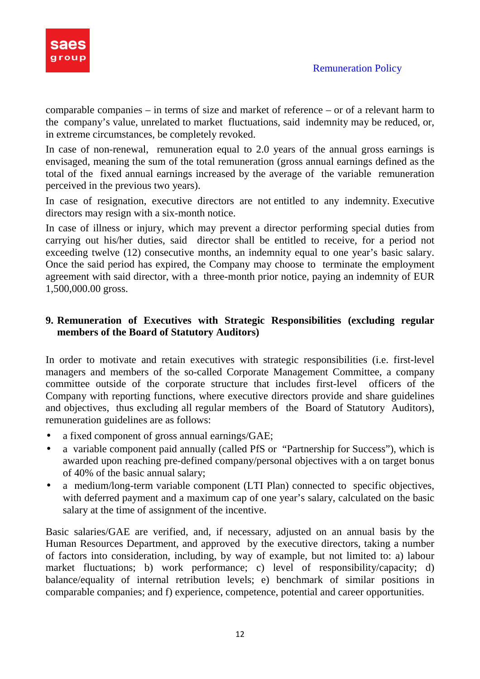

comparable companies – in terms of size and market of reference – or of a relevant harm to the company's value, unrelated to market fluctuations, said indemnity may be reduced, or, in extreme circumstances, be completely revoked.

In case of non-renewal, remuneration equal to 2.0 years of the annual gross earnings is envisaged, meaning the sum of the total remuneration (gross annual earnings defined as the total of the fixed annual earnings increased by the average of the variable remuneration perceived in the previous two years).

In case of resignation, executive directors are not entitled to any indemnity. Executive directors may resign with a six-month notice.

In case of illness or injury, which may prevent a director performing special duties from carrying out his/her duties, said director shall be entitled to receive, for a period not exceeding twelve (12) consecutive months, an indemnity equal to one year's basic salary. Once the said period has expired, the Company may choose to terminate the employment agreement with said director, with a three-month prior notice, paying an indemnity of EUR 1,500,000.00 gross.

### **9. Remuneration of Executives with Strategic Responsibilities (excluding regular members of the Board of Statutory Auditors)**

In order to motivate and retain executives with strategic responsibilities (i.e. first-level managers and members of the so-called Corporate Management Committee, a company committee outside of the corporate structure that includes first-level officers of the Company with reporting functions, where executive directors provide and share guidelines and objectives, thus excluding all regular members of the Board of Statutory Auditors), remuneration guidelines are as follows:

- a fixed component of gross annual earnings/GAE;
- a variable component paid annually (called PfS or "Partnership for Success"), which is awarded upon reaching pre-defined company/personal objectives with a on target bonus of 40% of the basic annual salary;
- a medium/long-term variable component (LTI Plan) connected to specific objectives, with deferred payment and a maximum cap of one year's salary, calculated on the basic salary at the time of assignment of the incentive.

Basic salaries/GAE are verified, and, if necessary, adjusted on an annual basis by the Human Resources Department, and approved by the executive directors, taking a number of factors into consideration, including, by way of example, but not limited to: a) labour market fluctuations; b) work performance; c) level of responsibility/capacity; d) balance/equality of internal retribution levels; e) benchmark of similar positions in comparable companies; and f) experience, competence, potential and career opportunities.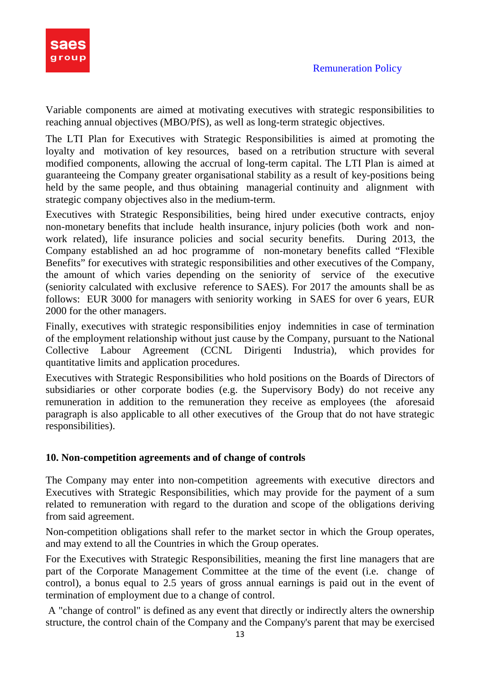

Variable components are aimed at motivating executives with strategic responsibilities to reaching annual objectives (MBO/PfS), as well as long-term strategic objectives.

The LTI Plan for Executives with Strategic Responsibilities is aimed at promoting the loyalty and motivation of key resources, based on a retribution structure with several modified components, allowing the accrual of long-term capital. The LTI Plan is aimed at guaranteeing the Company greater organisational stability as a result of key-positions being held by the same people, and thus obtaining managerial continuity and alignment with strategic company objectives also in the medium-term.

Executives with Strategic Responsibilities, being hired under executive contracts, enjoy non-monetary benefits that include health insurance, injury policies (both work and nonwork related), life insurance policies and social security benefits. During 2013, the Company established an ad hoc programme of non-monetary benefits called "Flexible Benefits" for executives with strategic responsibilities and other executives of the Company, the amount of which varies depending on the seniority of service of the executive (seniority calculated with exclusive reference to SAES). For 2017 the amounts shall be as follows: EUR 3000 for managers with seniority working in SAES for over 6 years, EUR 2000 for the other managers.

Finally, executives with strategic responsibilities enjoy indemnities in case of termination of the employment relationship without just cause by the Company, pursuant to the National Collective Labour Agreement (CCNL Dirigenti Industria), which provides for quantitative limits and application procedures.

Executives with Strategic Responsibilities who hold positions on the Boards of Directors of subsidiaries or other corporate bodies (e.g. the Supervisory Body) do not receive any remuneration in addition to the remuneration they receive as employees (the aforesaid paragraph is also applicable to all other executives of the Group that do not have strategic responsibilities).

### **10. Non-competition agreements and of change of controls**

The Company may enter into non-competition agreements with executive directors and Executives with Strategic Responsibilities, which may provide for the payment of a sum related to remuneration with regard to the duration and scope of the obligations deriving from said agreement.

Non-competition obligations shall refer to the market sector in which the Group operates, and may extend to all the Countries in which the Group operates.

For the Executives with Strategic Responsibilities, meaning the first line managers that are part of the Corporate Management Committee at the time of the event (i.e. change of control), a bonus equal to 2.5 years of gross annual earnings is paid out in the event of termination of employment due to a change of control.

 A "change of control" is defined as any event that directly or indirectly alters the ownership structure, the control chain of the Company and the Company's parent that may be exercised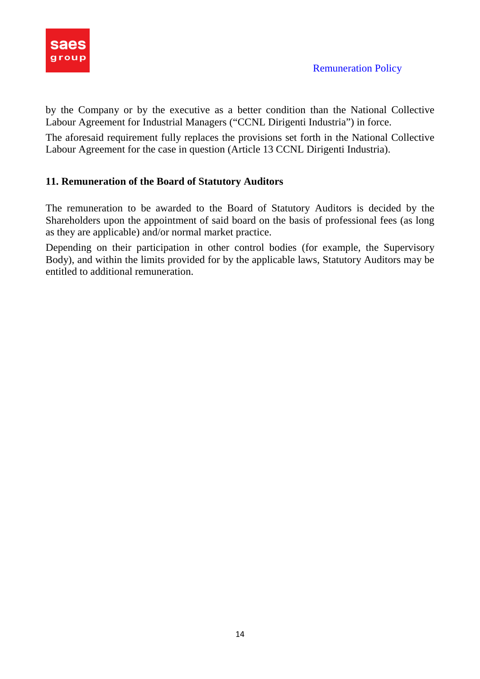

by the Company or by the executive as a better condition than the National Collective Labour Agreement for Industrial Managers ("CCNL Dirigenti Industria") in force.

The aforesaid requirement fully replaces the provisions set forth in the National Collective Labour Agreement for the case in question (Article 13 CCNL Dirigenti Industria).

### **11. Remuneration of the Board of Statutory Auditors**

The remuneration to be awarded to the Board of Statutory Auditors is decided by the Shareholders upon the appointment of said board on the basis of professional fees (as long as they are applicable) and/or normal market practice.

Depending on their participation in other control bodies (for example, the Supervisory Body), and within the limits provided for by the applicable laws, Statutory Auditors may be entitled to additional remuneration.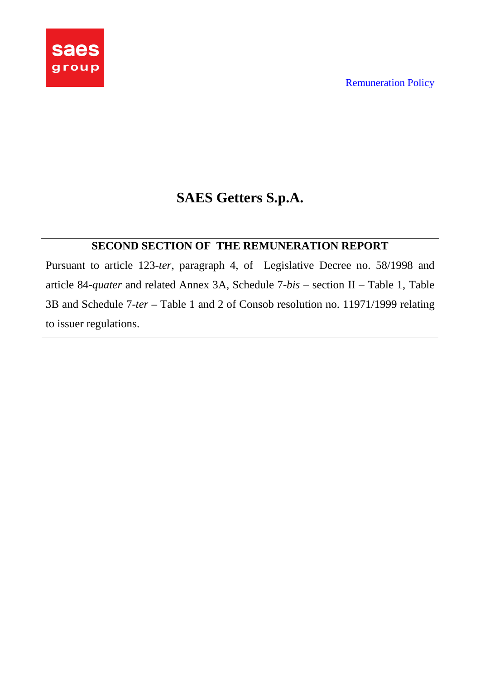

# **SAES Getters S.p.A.**

## **SECOND SECTION OF THE REMUNERATION REPORT**

Pursuant to article 123-*ter*, paragraph 4, of Legislative Decree no. 58/1998 and article 84-*quater* and related Annex 3A, Schedule 7-*bis* – section II – Table 1, Table 3B and Schedule 7-*ter* – Table 1 and 2 of Consob resolution no. 11971/1999 relating to issuer regulations.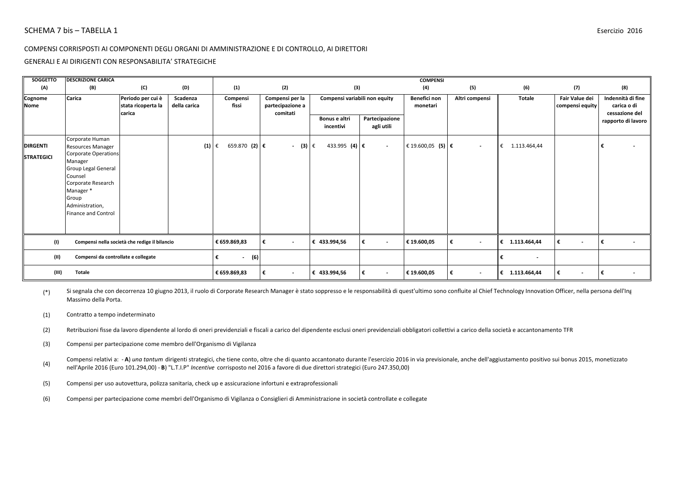GENERALI E AI DIRIGENTI CON RESPONSABILITA' STRATEGICHE

| SOGGETTO               | <b>DESCRIZIONE CARICA</b>                                                                                                                                                    |                                                   |                          |                            |                                                 |                               |                               | <b>COMPENSI</b>            |                               |                               |                                   |                                                    |
|------------------------|------------------------------------------------------------------------------------------------------------------------------------------------------------------------------|---------------------------------------------------|--------------------------|----------------------------|-------------------------------------------------|-------------------------------|-------------------------------|----------------------------|-------------------------------|-------------------------------|-----------------------------------|----------------------------------------------------|
| (A)                    | (B)                                                                                                                                                                          | (C)                                               | (D)                      | (1)                        | (2)                                             | (3)                           |                               | (4)                        | (5)                           | (6)                           | (7)                               | (8)                                                |
| Cognome<br><b>Nome</b> | Carica                                                                                                                                                                       | Periodo per cui è<br>stata ricoperta la<br>carica | Scadenza<br>della carica | Compensi<br>fissi          | Compensi per la<br>partecipazione a<br>comitati | Compensi variabili non equity |                               | Benefici non<br>monetari   | Altri compensi                | <b>Totale</b>                 | Fair Value dei<br>compensi equity | Indennità di fine<br>carica o di<br>cessazione del |
|                        |                                                                                                                                                                              |                                                   |                          |                            |                                                 | Bonus e altri<br>incentivi    | Partecipazione<br>agli utili  |                            |                               |                               |                                   | rapporto di lavoro                                 |
| <b>DIRGENTI</b>        | Corporate Human<br><b>Resources Manager</b>                                                                                                                                  |                                                   | (1)                      | $659.870$ (2) €<br>€       | $-$ (3)                                         | 433.995 (4) €<br>l€           | $\sim$                        | € 19.600,05 (5) $\epsilon$ | $\overline{\phantom{a}}$      | €<br>1.113.464,44             |                                   |                                                    |
| <b>STRATEGICI</b>      | <b>Corporate Operations</b><br>Manager<br><b>Group Legal General</b><br>Counsel<br>Corporate Research<br>Manager *<br>Group<br>Administration,<br><b>Finance and Control</b> |                                                   |                          |                            |                                                 |                               |                               |                            |                               |                               |                                   |                                                    |
| (1)                    |                                                                                                                                                                              | Compensi nella società che redige il bilancio     |                          | € 659.869,83               | $\overline{\phantom{a}}$                        | € 433.994,56                  | €<br>$\overline{\phantom{a}}$ | € 19.600,05                | €<br>$\overline{\phantom{a}}$ | € 1.113.464,44                | $\sim$                            | $\overline{\phantom{a}}$                           |
| (II)                   | Compensi da controllate e collegate                                                                                                                                          |                                                   |                          | (6)<br>€<br>$\blacksquare$ |                                                 |                               |                               |                            |                               | €<br>$\overline{\phantom{a}}$ |                                   |                                                    |
| (III)                  | <b>Totale</b>                                                                                                                                                                |                                                   |                          | € 659.869,83               | $\overline{\phantom{a}}$                        | € 433.994,56                  | €<br>$\overline{\phantom{a}}$ | € 19.600,05                | €<br>$\overline{\phantom{a}}$ | € 1.113.464,44                | $\sim$                            | l€<br>$\overline{\phantom{a}}$                     |

(\*) Si segnala che con decorrenza 10 giugno 2013, il ruolo di Corporate Research Manager è stato soppresso e le responsabilità di quest'ultimo sono confluite al Chief Technology Innovation Officer, nella persona dell'Ing. Massimo della Porta.

(1) Contratto a tempo indeterminato

- (2) Retribuzioni fisse da lavoro dipendente al lordo di oneri previdenziali e fiscali a carico del dipendente esclusi oneri previdenziali obbligatori collettivi a carico della società e accantonamento TFR
- (3) Compensi per partecipazione come membro dell'Organismo di Vigilanza

(4) Compensi relativi a: - A) una tantum dirigenti strategici, che tiene conto, oltre che di quanto accantonato durante l'esercizio 2016 in via previsionale, anche dell'aggiustamento positivo sui bonus 2015, monetizzato nell'Aprile 2016 (Euro 101.294,00) - **B**) "L.T.I.P" *Incentive* corrisposto nel 2016 a favore di due direttori strategici (Euro 247.350,00)

(5) Compensi per uso autovettura, polizza sanitaria, check up e assicurazione infortuni e extraprofessionali

(6) Compensi per partecipazione come membri dell'Organismo di Vigilanza o Consiglieri di Amministrazione in società controllate e collegate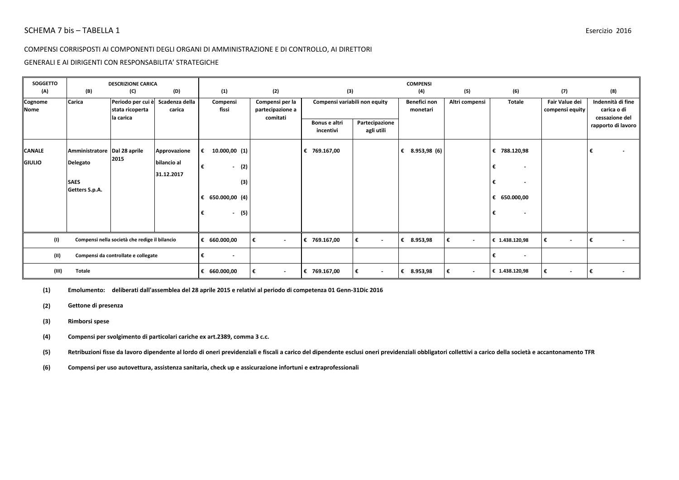#### GENERALI E AI DIRIGENTI CON RESPONSABILITA' STRATEGICHE

| SOGGETTO<br>(A)                | (B)                                      | <b>DESCRIZIONE CARICA</b><br>(C)              | (D)                         |   | (1)                      |     | (2)                                             | (3)                           |                               | <b>COMPENSI</b><br>(4)   | (5)                           | (6)                                                            | (7)                               | (8)                                  |  |
|--------------------------------|------------------------------------------|-----------------------------------------------|-----------------------------|---|--------------------------|-----|-------------------------------------------------|-------------------------------|-------------------------------|--------------------------|-------------------------------|----------------------------------------------------------------|-----------------------------------|--------------------------------------|--|
| Cognome<br><b>Nome</b>         | Carica                                   | Periodo per cui è<br>stata ricoperta          | Scadenza della<br>carica    |   | Compensi<br>fissi        |     | Compensi per la<br>partecipazione a<br>comitati | Compensi variabili non equity |                               | Benefici non<br>monetari | Altri compensi                | <b>Totale</b>                                                  | Fair Value dei<br>compensi equity | Indennità di fine<br>carica o di     |  |
|                                |                                          | la carica                                     |                             |   |                          |     |                                                 | Bonus e altri<br>incentivi    | Partecipazione<br>agli utili  |                          |                               |                                                                |                                   | cessazione del<br>rapporto di lavoro |  |
| <b>CANALE</b><br><b>GIULIO</b> | Amministratore Dal 28 aprile<br>Delegato | 2015                                          | Approvazione<br>bilancio al | € | 10.000,00(1)             |     |                                                 | € 769.167,00                  |                               | 8.953,98 (6)<br>€        |                               | € 788.120,98                                                   |                                   |                                      |  |
|                                | <b>SAES</b>                              |                                               | 31.12.2017                  | € | $-$ (2)                  | (3) |                                                 |                               |                               |                          |                               | €<br>$\overline{\phantom{a}}$<br>€<br>$\overline{\phantom{a}}$ |                                   |                                      |  |
|                                | Getters S.p.A.                           |                                               |                             |   | € 650.000,00 (4)         |     |                                                 |                               |                               |                          |                               | € 650.000,00                                                   |                                   |                                      |  |
|                                |                                          |                                               |                             | € | $\overline{\phantom{a}}$ | (5) |                                                 |                               |                               |                          |                               | $\overline{\phantom{a}}$                                       |                                   |                                      |  |
| (1)                            |                                          | Compensi nella società che redige il bilancio |                             |   | € 660.000,00             |     | €<br>$\overline{\phantom{a}}$                   | € 769.167,00                  | €<br>$\overline{\phantom{a}}$ | 8.953,98<br>€            | $\overline{\phantom{a}}$      | € 1.438.120,98                                                 | €<br>$\overline{\phantom{a}}$     |                                      |  |
| (II)                           |                                          | Compensi da controllate e collegate           |                             |   | $\overline{\phantom{a}}$ |     |                                                 |                               |                               |                          |                               | €<br>$\sim$                                                    |                                   |                                      |  |
| (III)                          | <b>Totale</b>                            |                                               |                             |   | € 660.000,00             |     | €<br>$\sim$                                     | € 769.167,00                  | l€<br>$\sim$                  | € 8.953,98               | €<br>$\overline{\phantom{a}}$ | € 1.438.120,98                                                 | €<br>$\sim$                       | l€                                   |  |

**(1) Emolumento:deliberati dall'assemblea del 28 aprile 2015 e relativi al periodo di competenza 01 Genn-31Dic 2016**

**(2) Gettone di presenza**

#### **(3) Rimborsi spese**

**(4) Compensi per svolgimento di particolari cariche ex art.2389, comma 3 c.c.**

**(5) Retribuzioni fisse da lavoro dipendente al lordo di oneri previdenziali e fiscali a carico del dipendente esclusi oneri previdenziali obbligatori collettivi a carico della società e accantonamento TFR**

**(6) Compensi per uso autovettura, assistenza sanitaria, check up e assicurazione infortuni e extraprofessionali**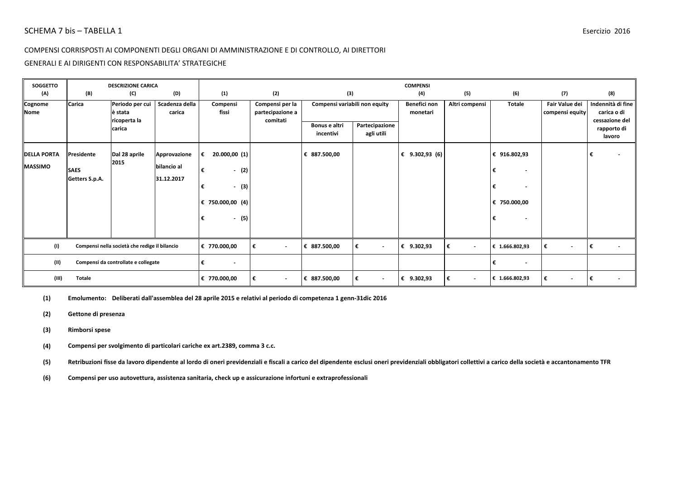#### GENERALI E AI DIRIGENTI CON RESPONSABILITA' STRATEGICHE

| <b>SOGGETTO</b><br>(A)               | (B)                                         | <b>DESCRIZIONE CARICA</b><br>(C)              | (D)                                       | (1)                                                                                    | (2)                                             | (3)                           |                               | <b>COMPENSI</b><br>(4)   | (5)            | (6)                                                                                                                             | (7)                               | (8)                                                |
|--------------------------------------|---------------------------------------------|-----------------------------------------------|-------------------------------------------|----------------------------------------------------------------------------------------|-------------------------------------------------|-------------------------------|-------------------------------|--------------------------|----------------|---------------------------------------------------------------------------------------------------------------------------------|-----------------------------------|----------------------------------------------------|
| Cognome<br>Nome                      | Carica                                      | Periodo per cui<br>è stata<br>ricoperta la    | Scadenza della<br>carica                  | Compensi<br>fissi                                                                      | Compensi per la<br>partecipazione a<br>comitati | Compensi variabili non equity |                               | Benefici non<br>monetari | Altri compensi | <b>Totale</b>                                                                                                                   | Fair Value dei<br>compensi equity | Indennità di fine<br>carica o di<br>cessazione del |
|                                      |                                             | carica                                        |                                           |                                                                                        |                                                 | Bonus e altri<br>incentivi    | Partecipazione<br>agli utili  |                          |                |                                                                                                                                 |                                   | rapporto di<br>lavoro                              |
| <b>DELLA PORTA</b><br><b>MASSIMO</b> | Presidente<br><b>SAES</b><br>Getters S.p.A. | Dal 28 aprile<br>2015                         | Approvazione<br>bilancio al<br>31.12.2017 | 20.000,00 (1)<br>€<br>€<br>$-$ (2)<br>$-$ (3)<br>€<br>€ 750.000,00 (4)<br>$- (5)$<br>€ |                                                 | € 887.500,00                  |                               | € $9.302,93$ (6)         |                | € 916.802,93<br>€<br>$\overline{\phantom{a}}$<br>€<br>$\overline{\phantom{a}}$<br>€ 750.000,00<br>€<br>$\overline{\phantom{a}}$ |                                   | €                                                  |
| (1)                                  |                                             | Compensi nella società che redige il bilancio |                                           | € 770.000,00                                                                           | €<br>$\sim$                                     | € 887.500,00                  | €<br>$\sim$                   | € 9.302,93               | ∣€<br>$\sim$   | € 1.666.802,93                                                                                                                  | €<br>$\overline{\phantom{a}}$     | I€                                                 |
| (II)                                 | Compensi da controllate e collegate         |                                               |                                           | €<br>$\overline{\phantom{a}}$                                                          |                                                 |                               |                               |                          |                | €<br>$\overline{\phantom{a}}$                                                                                                   |                                   |                                                    |
| (III)                                | <b>Totale</b>                               |                                               |                                           | € 770.000,00                                                                           | €<br>$\blacksquare$                             | € 887.500,00                  | €<br>$\overline{\phantom{a}}$ | € 9.302,93               | €<br>$\sim$    | € 1.666.802,93                                                                                                                  | €<br>$\overline{\phantom{a}}$     | I€                                                 |

**(1) Emolumento:Deliberati dall'assemblea del 28 aprile 2015 e relativi al periodo di competenza 1 genn-31dic 2016**

**(2) Gettone di presenza**

- **(3) Rimborsi spese**
- **(4) Compensi per svolgimento di particolari cariche ex art.2389, comma 3 c.c.**

**(5) Retribuzioni fisse da lavoro dipendente al lordo di oneri previdenziali e fiscali a carico del dipendente esclusi oneri previdenziali obbligatori collettivi a carico della società e accantonamento TFR**

**(6) Compensi per uso autovettura, assistenza sanitaria, check up e assicurazione infortuni e extraprofessionali**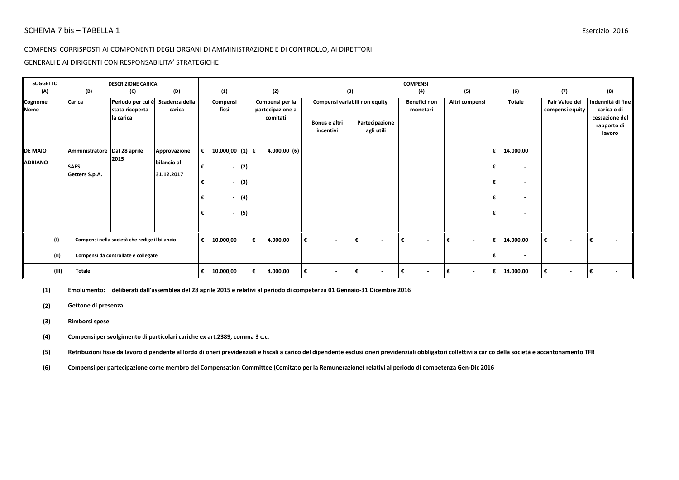#### GENERALI E AI DIRIGENTI CON RESPONSABILITA' STRATEGICHE

| <b>SOGGETTO</b>                  |                                                               | <b>DESCRIZIONE CARICA</b>                                |                                           |                                                                                                                      | (2)                                             |                                      |                                | <b>COMPENSI</b>                 |                               |                                                                                                                                |                                          |                                                           |
|----------------------------------|---------------------------------------------------------------|----------------------------------------------------------|-------------------------------------------|----------------------------------------------------------------------------------------------------------------------|-------------------------------------------------|--------------------------------------|--------------------------------|---------------------------------|-------------------------------|--------------------------------------------------------------------------------------------------------------------------------|------------------------------------------|-----------------------------------------------------------|
| (A)<br>Cognome<br><b>Nome</b>    | (B)<br>Carica                                                 | (C)<br>Periodo per cui è<br>stata ricoperta<br>la carica | (D)<br>Scadenza della<br>carica           | (1)<br>Compensi<br>fissi                                                                                             | Compensi per la<br>partecipazione a<br>comitati | (3)<br>Compensi variabili non equity |                                | (4)<br>Benefici non<br>monetari | (5)<br>Altri compensi         | (6)<br><b>Totale</b>                                                                                                           | (7)<br>Fair Value dei<br>compensi equity | (8)<br>Indennità di fine<br>carica o di<br>cessazione del |
|                                  |                                                               |                                                          |                                           |                                                                                                                      |                                                 | Bonus e altri<br>incentivi           | Partecipazione<br>agli utili   |                                 |                               |                                                                                                                                |                                          | rapporto di<br>lavoro                                     |
| <b>DE MAIO</b><br><b>ADRIANO</b> | Amministratore Dal 28 aprile<br><b>SAES</b><br>Getters S.p.A. | 2015                                                     | Approvazione<br>bilancio al<br>31.12.2017 | 10.000,00 (1) €<br>€<br>€<br>(2)<br>$\blacksquare$<br>(3)<br>€<br>$\sim$<br>(4)<br>€<br>$\sim$<br>(5)<br>€<br>$\sim$ | 4.000,00(6)                                     |                                      |                                |                                 |                               | 14.000,00<br>€<br>$\overline{\phantom{a}}$<br>$\overline{\phantom{a}}$<br>$\overline{\phantom{a}}$<br>$\overline{\phantom{a}}$ |                                          |                                                           |
| (1)                              |                                                               | Compensi nella società che redige il bilancio            |                                           | €<br>10.000,00                                                                                                       | 4.000,00<br>€                                   | €<br>$\overline{\phantom{a}}$        | ∣€<br>$\overline{\phantom{a}}$ | ∣€<br>$\overline{\phantom{a}}$  | €<br>$\overline{\phantom{a}}$ | 14.000,00<br>€                                                                                                                 | €<br>$\overline{\phantom{a}}$            |                                                           |
| (11)                             | Compensi da controllate e collegate                           |                                                          |                                           |                                                                                                                      |                                                 |                                      |                                |                                 |                               | €<br>$\overline{\phantom{a}}$                                                                                                  |                                          |                                                           |
| (III)                            | <b>Totale</b>                                                 |                                                          |                                           | 10.000,00<br>€                                                                                                       | 4.000,00<br>€                                   | €<br>$\overline{\phantom{a}}$        | €<br>$\overline{\phantom{a}}$  | €<br>$\sim$                     | $\overline{\phantom{a}}$      | 14.000,00<br>€                                                                                                                 | €<br>$\blacksquare$                      |                                                           |

**(1) Emolumento:deliberati dall'assemblea del 28 aprile 2015 e relativi al periodo di competenza 01 Gennaio-31 Dicembre 2016**

**(2) Gettone di presenza**

#### **(3) Rimborsi spese**

**(4) Compensi per svolgimento di particolari cariche ex art.2389, comma 3 c.c.**

**(5) Retribuzioni fisse da lavoro dipendente al lordo di oneri previdenziali e fiscali a carico del dipendente esclusi oneri previdenziali obbligatori collettivi a carico della società e accantonamento TFR**

**(6) Compensi per partecipazione come membro del Compensation Committee (Comitato per la Remunerazione) relativi al periodo di competenza Gen-Dic 2016**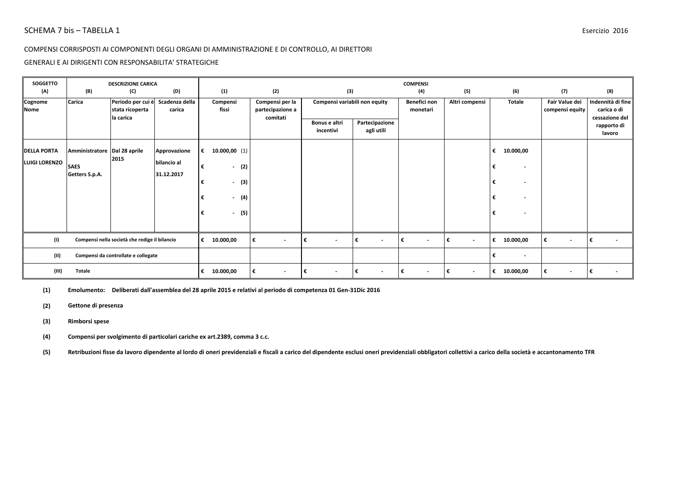#### GENERALI E AI DIRIGENTI CON RESPONSABILITA' STRATEGICHE

| <b>SOGGETTO</b><br>(A)                     | (B)                                                           | <b>DESCRIZIONE CARICA</b><br>(C)              | (D)                                       | (1)                                                                                                       | (2)                                 | (3)                            |                               | <b>COMPENSI</b><br>(4)        | (5)                      | (6)                                                                                                                            | (7)                               | (8)                                     |
|--------------------------------------------|---------------------------------------------------------------|-----------------------------------------------|-------------------------------------------|-----------------------------------------------------------------------------------------------------------|-------------------------------------|--------------------------------|-------------------------------|-------------------------------|--------------------------|--------------------------------------------------------------------------------------------------------------------------------|-----------------------------------|-----------------------------------------|
| Cognome<br><b>Nome</b>                     | Carica                                                        | Periodo per cui è<br>stata ricoperta          | Scadenza della<br>carica                  | Compensi<br>fissi                                                                                         | Compensi per la<br>partecipazione a | Compensi variabili non equity  |                               | Benefici non<br>monetari      | Altri compensi           | <b>Totale</b>                                                                                                                  | Fair Value dei<br>compensi equity | Indennità di fine<br>carica o di        |
|                                            |                                                               | la carica                                     |                                           |                                                                                                           | comitati                            | Bonus e altri<br>incentivi     | Partecipazione<br>agli utili  |                               |                          |                                                                                                                                |                                   | cessazione del<br>rapporto di<br>lavoro |
| <b>DELLA PORTA</b><br><b>LUIGI LORENZO</b> | Amministratore Dal 28 aprile<br><b>SAES</b><br>Getters S.p.A. | 2015                                          | Approvazione<br>bilancio al<br>31.12.2017 | 10.000,00(1)<br>€<br>(2)<br>€<br>$\sim$<br>(3)<br>€<br>$\sim$<br>(4)<br>€<br>$\sim$<br>(5)<br>€<br>$\sim$ |                                     |                                |                               |                               |                          | 10.000,00<br>€<br>$\overline{\phantom{a}}$<br>$\overline{\phantom{a}}$<br>$\overline{\phantom{a}}$<br>$\overline{\phantom{a}}$ |                                   |                                         |
| (1)                                        |                                                               | Compensi nella società che redige il bilancio |                                           | €<br>10.000,00                                                                                            | €<br>$\overline{\phantom{a}}$       | ∣€<br>$\sim$                   | €<br>$\overline{\phantom{a}}$ | €<br>$\overline{\phantom{a}}$ | $\overline{\phantom{a}}$ | 10.000,00<br>€                                                                                                                 | €<br>$\overline{\phantom{a}}$     |                                         |
| (II)                                       | Compensi da controllate e collegate                           |                                               |                                           |                                                                                                           |                                     |                                |                               |                               |                          | €<br>$\overline{\phantom{a}}$                                                                                                  |                                   |                                         |
| (III)                                      | Totale                                                        |                                               |                                           | 10.000,00<br>€                                                                                            | €<br>$\overline{\phantom{a}}$       | ∣€<br>$\overline{\phantom{a}}$ | €<br>$\overline{\phantom{a}}$ | €<br>$\overline{\phantom{a}}$ | $\overline{\phantom{a}}$ | 10.000,00<br>€                                                                                                                 | €<br>$\overline{\phantom{a}}$     |                                         |

**(1) Emolumento:Deliberati dall'assemblea del 28 aprile 2015 e relativi al periodo di competenza 01 Gen-31Dic 2016**

**(2) Gettone di presenza**

#### **(3) Rimborsi spese**

**(4) Compensi per svolgimento di particolari cariche ex art.2389, comma 3 c.c.**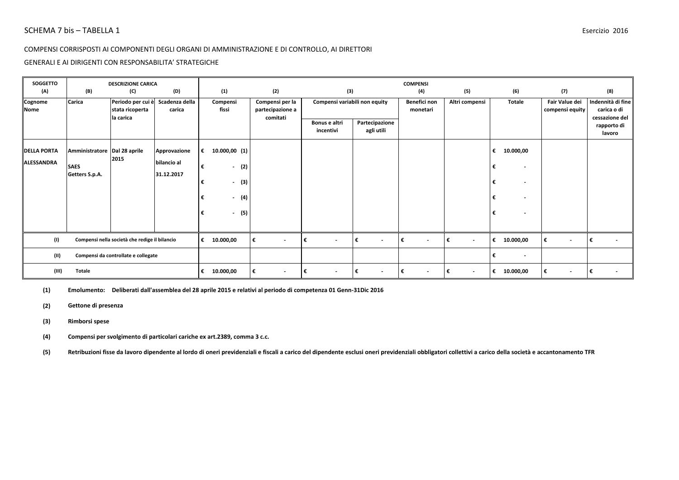#### GENERALI E AI DIRIGENTI CON RESPONSABILITA' STRATEGICHE

| <b>SOGGETTO</b>    |                                     | <b>DESCRIZIONE CARICA</b><br>(D)<br>(C)       |                |                    |                               |                                      |                               | <b>COMPENSI</b>               |                                |                          |                               |                               |
|--------------------|-------------------------------------|-----------------------------------------------|----------------|--------------------|-------------------------------|--------------------------------------|-------------------------------|-------------------------------|--------------------------------|--------------------------|-------------------------------|-------------------------------|
| (A)<br>Cognome     | (B)<br>Carica                       | Periodo per cui è                             | Scadenza della | (1)<br>Compensi    | (2)<br>Compensi per la        | (3)<br>Compensi variabili non equity |                               | (4)<br>Benefici non           | (5)<br>Altri compensi          | (6)<br><b>Totale</b>     | (7)<br>Fair Value dei         | (8)<br>Indennità di fine      |
| <b>Nome</b>        |                                     | stata ricoperta<br>la carica                  | carica         | fissi              | partecipazione a<br>comitati  | Bonus e altri                        | Partecipazione                | monetari                      |                                |                          | compensi equity               | carica o di<br>cessazione del |
|                    |                                     |                                               |                |                    |                               | incentivi                            | agli utili                    |                               |                                |                          |                               | rapporto di<br>lavoro         |
| <b>DELLA PORTA</b> | Amministratore Dal 28 aprile        |                                               | Approvazione   | €<br>10.000,00(1)  |                               |                                      |                               |                               |                                | 10.000,00<br>€           |                               |                               |
| ALESSANDRA         | <b>SAES</b>                         | 2015                                          | bilancio al    | €<br>(2)<br>$\sim$ |                               |                                      |                               |                               |                                |                          |                               |                               |
|                    | Getters S.p.A.                      |                                               | 31.12.2017     | $-$ (3)<br>€       |                               |                                      |                               |                               |                                |                          |                               |                               |
|                    |                                     |                                               |                | $-$ (4)<br>€       |                               |                                      |                               |                               |                                | $\overline{\phantom{a}}$ |                               |                               |
|                    |                                     |                                               |                | $-$ (5)<br>€       |                               |                                      |                               |                               |                                | $\overline{\phantom{a}}$ |                               |                               |
|                    |                                     |                                               |                |                    |                               |                                      |                               |                               |                                |                          |                               |                               |
| (1)                |                                     | Compensi nella società che redige il bilancio |                | €<br>10.000,00     | €<br>$\overline{\phantom{a}}$ | ∣€<br>$\sim$                         | €<br>$\overline{\phantom{a}}$ | €<br>$\overline{\phantom{a}}$ | l€<br>$\overline{\phantom{a}}$ | 10.000,00<br>€           | €<br>$\overline{\phantom{a}}$ |                               |
| (11)               | Compensi da controllate e collegate |                                               |                |                    |                               |                                      |                               |                               |                                | $\overline{\phantom{a}}$ |                               |                               |
| (III)              | <b>Totale</b>                       |                                               |                | €<br>10.000,00     | €<br>$\overline{\phantom{a}}$ | ∣€<br>$\overline{\phantom{a}}$       | €<br>$\overline{\phantom{a}}$ | €                             | $\overline{\phantom{a}}$       | 10.000,00<br>€           | €<br>$\overline{\phantom{a}}$ |                               |

**(1) Emolumento:Deliberati dall'assemblea del 28 aprile 2015 e relativi al periodo di competenza 01 Genn-31Dic 2016**

**(2) Gettone di presenza**

#### **(3) Rimborsi spese**

**(4) Compensi per svolgimento di particolari cariche ex art.2389, comma 3 c.c.**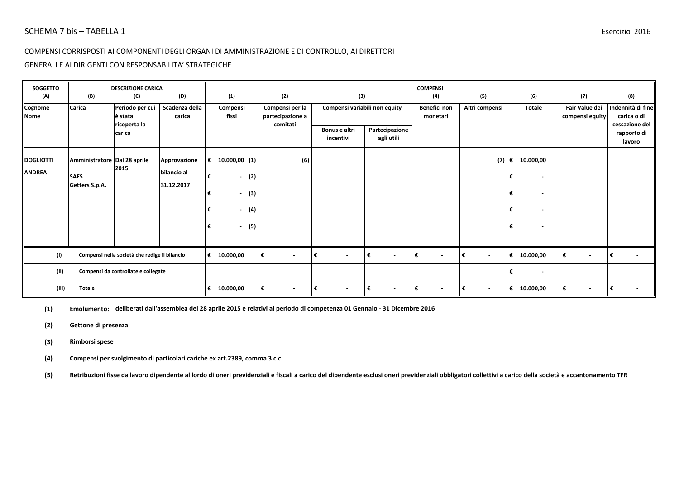### GENERALI E AI DIRIGENTI CON RESPONSABILITA' STRATEGICHE

| <b>SOGGETTO</b>                   |                                     | <b>DESCRIZIONE CARICA</b>                     |                             |                   |                          |                                                 |                               |                              | <b>COMPENSI</b>               |                |                                                      |                                   |                                                    |
|-----------------------------------|-------------------------------------|-----------------------------------------------|-----------------------------|-------------------|--------------------------|-------------------------------------------------|-------------------------------|------------------------------|-------------------------------|----------------|------------------------------------------------------|-----------------------------------|----------------------------------------------------|
| (A)                               | (B)                                 | (C)                                           | (D)                         | (1)               |                          | (2)                                             | (3)                           |                              | (4)                           | (5)            | (6)                                                  | (7)                               | (8)                                                |
| Cognome<br><b>Nome</b>            | <b>Carica</b>                       | Periodo per cui<br>è stata<br>ricoperta la    | Scadenza della<br>carica    | Compensi<br>fissi |                          | Compensi per la<br>partecipazione a<br>comitati | Compensi variabili non equity |                              | Benefici non<br>monetari      | Altri compensi | <b>Totale</b>                                        | Fair Value dei<br>compensi equity | Indennità di fine<br>carica o di<br>cessazione del |
|                                   |                                     | carica                                        |                             |                   |                          |                                                 | Bonus e altri<br>incentivi    | Partecipazione<br>agli utili |                               |                |                                                      |                                   | rapporto di<br>lavoro                              |
| <b>DOGLIOTTI</b><br><b>ANDREA</b> | Amministratore Dal 28 aprile        | 2015                                          | Approvazione<br>bilancio al | € 10.000,00 (1)   |                          | (6)                                             |                               |                              |                               | (7)            | 10.000,00<br>€                                       |                                   |                                                    |
|                                   | <b>SAES</b><br>Getters S.p.A.       |                                               | 31.12.2017                  | €<br>€            | $-$ (2)<br>(3)<br>$\sim$ |                                                 |                               |                              |                               |                | €<br>$\overline{\phantom{a}}$<br>€<br>$\blacksquare$ |                                   |                                                    |
|                                   |                                     |                                               |                             | €                 | $-$ (4)                  |                                                 |                               |                              |                               |                | €<br>$\blacksquare$                                  |                                   |                                                    |
|                                   |                                     |                                               |                             | €                 | $- (5)$                  |                                                 |                               |                              |                               |                | €<br>$\overline{\phantom{a}}$                        |                                   |                                                    |
| (1)                               |                                     | Compensi nella società che redige il bilancio |                             | € $10.000,00$     |                          | ∣€<br>$\sim$                                    | €<br>$\sim$                   | €<br>$\sim$                  | €<br>$\sim$                   | l€<br>$\sim$   | € $10.000,00$                                        | €<br>$\sim$                       | I€<br>$\blacksquare$                               |
| (II)                              | Compensi da controllate e collegate |                                               |                             |                   |                          |                                                 |                               |                              |                               |                | €<br>$\sim$                                          |                                   |                                                    |
| (III)                             | <b>Totale</b>                       |                                               |                             | 10.000,00<br>€    |                          | ∣€<br>$\sim$                                    | €<br>$\sim$                   | $\overline{\phantom{a}}$     | €<br>$\overline{\phantom{a}}$ | €<br>$\sim$    | 10.000,00<br>€                                       | €<br>$\sim$                       | €                                                  |

**(1) Emolumento:deliberati dall'assemblea del 28 aprile 2015 e relativi al periodo di competenza 01 Gennaio - 31 Dicembre 2016**

**(2) Gettone di presenza**

**(3) Rimborsi spese**

**(4) Compensi per svolgimento di particolari cariche ex art.2389, comma 3 c.c.**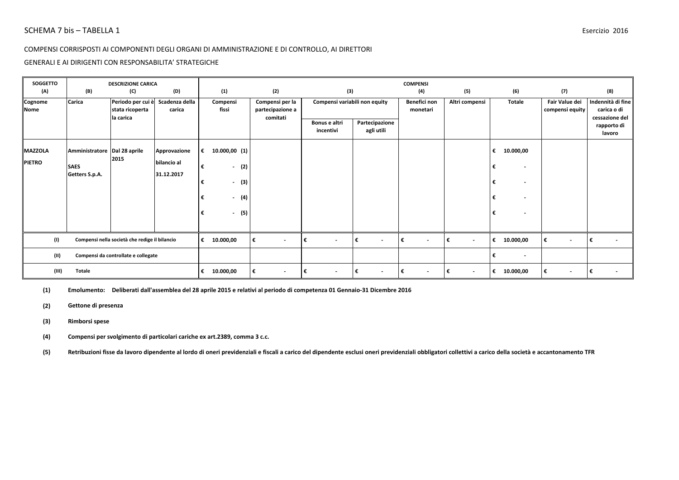#### GENERALI E AI DIRIGENTI CON RESPONSABILITA' STRATEGICHE

| <b>SOGGETTO</b>        |                                     | <b>DESCRIZIONE CARICA</b>                         |                           |                              |                                                 |                                |                               | <b>COMPENSI</b>               |                                |                          |                                   |                                                    |
|------------------------|-------------------------------------|---------------------------------------------------|---------------------------|------------------------------|-------------------------------------------------|--------------------------------|-------------------------------|-------------------------------|--------------------------------|--------------------------|-----------------------------------|----------------------------------------------------|
| (A)                    | (B)                                 | (C)                                               | (D)                       | (1)                          | (2)                                             | (3)                            |                               | (4)                           | (5)                            | (6)                      | (7)                               | (8)                                                |
| Cognome<br><b>Nome</b> | Carica                              | Periodo per cui è<br>stata ricoperta<br>la carica | Scadenza della<br>carica  | Compensi<br>fissi            | Compensi per la<br>partecipazione a<br>comitati | Compensi variabili non equity  |                               | Benefici non<br>monetari      | Altri compensi                 | <b>Totale</b>            | Fair Value dei<br>compensi equity | Indennità di fine<br>carica o di<br>cessazione del |
|                        |                                     |                                                   |                           |                              |                                                 | Bonus e altri<br>incentivi     | Partecipazione<br>agli utili  |                               |                                |                          |                                   | rapporto di<br>lavoro                              |
| <b>MAZZOLA</b>         | Amministratore Dal 28 aprile        | 2015                                              | Approvazione              | €<br>10.000,00(1)            |                                                 |                                |                               |                               |                                | 10.000,00<br>€           |                                   |                                                    |
| <b>PIETRO</b>          | <b>SAES</b><br>Getters S.p.A.       |                                                   | bilancio al<br>31.12.2017 | €<br>(2)<br>$\sim$           |                                                 |                                |                               |                               |                                | $\overline{\phantom{a}}$ |                                   |                                                    |
|                        |                                     |                                                   |                           | $-$ (3)<br>€<br>$-$ (4)<br>€ |                                                 |                                |                               |                               |                                | $\overline{\phantom{a}}$ |                                   |                                                    |
|                        |                                     |                                                   |                           | $-$ (5)<br>€                 |                                                 |                                |                               |                               |                                | $\overline{\phantom{a}}$ |                                   |                                                    |
|                        |                                     |                                                   |                           |                              |                                                 |                                |                               |                               |                                |                          |                                   |                                                    |
| (1)                    |                                     | Compensi nella società che redige il bilancio     |                           | €<br>10.000,00               | €<br>$\overline{\phantom{a}}$                   | ∣€<br>$\sim$                   | €<br>$\overline{\phantom{a}}$ | €<br>$\overline{\phantom{a}}$ | l€<br>$\overline{\phantom{a}}$ | 10.000,00<br>€           | €<br>$\overline{\phantom{a}}$     |                                                    |
| (11)                   | Compensi da controllate e collegate |                                                   |                           |                              |                                                 |                                |                               |                               |                                | $\overline{\phantom{a}}$ |                                   |                                                    |
| (III)                  | <b>Totale</b>                       |                                                   |                           | 10.000,00<br>€               | €<br>$\overline{\phantom{a}}$                   | ∣€<br>$\overline{\phantom{a}}$ | €<br>$\overline{\phantom{a}}$ | €                             | $\overline{\phantom{a}}$       | 10.000,00<br>€           | €<br>$\overline{\phantom{a}}$     |                                                    |

**(1) Emolumento:Deliberati dall'assemblea del 28 aprile 2015 e relativi al periodo di competenza 01 Gennaio-31 Dicembre 2016**

**(2) Gettone di presenza**

#### **(3) Rimborsi spese**

**(4) Compensi per svolgimento di particolari cariche ex art.2389, comma 3 c.c.**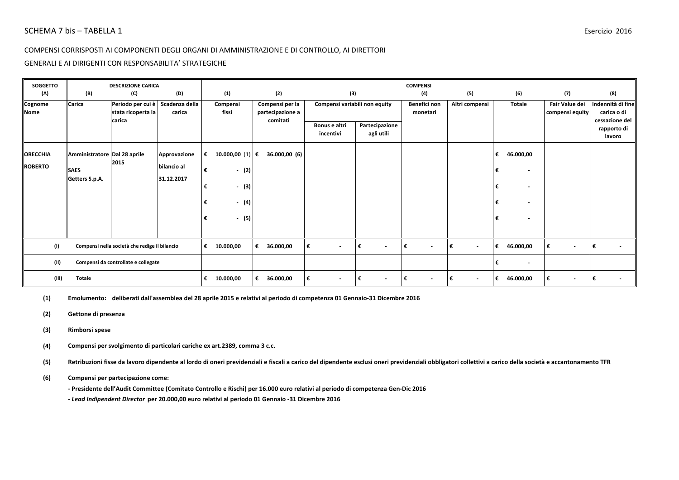#### GENERALI E AI DIRIGENTI CON RESPONSABILITA' STRATEGICHE

| SOGGETTO               |                                     | <b>DESCRIZIONE CARICA</b>                                        |                           |   |                            |   |                                                 |                            |        |                               | <b>COMPENSI</b>                |                     |   |                          |                                   |                                                    |
|------------------------|-------------------------------------|------------------------------------------------------------------|---------------------------|---|----------------------------|---|-------------------------------------------------|----------------------------|--------|-------------------------------|--------------------------------|---------------------|---|--------------------------|-----------------------------------|----------------------------------------------------|
| (A)                    | (B)                                 | (C)                                                              | (D)                       |   | (1)                        |   | (2)                                             |                            | (3)    |                               | (4)                            | (5)                 |   | (6)                      | (7)                               | (8)                                                |
| Cognome<br><b>Nome</b> | Carica                              | Periodo per cui è Scadenza della<br>stata ricoperta la<br>carica | carica                    |   | Compensi<br>fissi          |   | Compensi per la<br>partecipazione a<br>comitati |                            |        | Compensi variabili non equity | Benefici non<br>monetari       | Altri compensi      |   | Totale                   | Fair Value dei<br>compensi equity | Indennità di fine<br>carica o di<br>cessazione del |
|                        |                                     |                                                                  |                           |   |                            |   |                                                 | Bonus e altri<br>incentivi |        | Partecipazione<br>agli utili  |                                |                     |   |                          |                                   | rapporto di<br>lavoro                              |
| <b>ORECCHIA</b>        | Amministratore Dal 28 aprile        |                                                                  | Approvazione              | € | 10.000,00 (1) $ \epsilon $ |   | 36.000,00 (6)                                   |                            |        |                               |                                |                     | € | 46.000,00                |                                   |                                                    |
| <b>ROBERTO</b>         | <b>SAES</b><br>Getters S.p.A.       | 2015                                                             | bilancio al<br>31.12.2017 | € | $-$ (2)                    |   |                                                 |                            |        |                               |                                |                     | € | $\overline{\phantom{a}}$ |                                   |                                                    |
|                        |                                     |                                                                  |                           | € | $-$ (3)                    |   |                                                 |                            |        |                               |                                |                     | € | $\overline{\phantom{a}}$ |                                   |                                                    |
|                        |                                     |                                                                  |                           | € | $- (4)$                    |   |                                                 |                            |        |                               |                                |                     | € |                          |                                   |                                                    |
|                        |                                     |                                                                  |                           | € | - (5)                      |   |                                                 |                            |        |                               |                                |                     | € | $\overline{\phantom{a}}$ |                                   |                                                    |
| (1)                    |                                     | Compensi nella società che redige il bilancio                    |                           | € | 10.000,00                  | € | 36.000,00                                       | €                          | $\sim$ | €<br>$\sim$                   | ∣€<br>$\blacksquare$           | €<br>$\blacksquare$ | € | 46.000,00                | €<br>$\overline{\phantom{a}}$     |                                                    |
| (II)                   | Compensi da controllate e collegate |                                                                  |                           |   |                            |   |                                                 |                            |        |                               |                                |                     | € | $\overline{\phantom{a}}$ |                                   |                                                    |
| (III)                  | <b>Totale</b>                       |                                                                  |                           | € | 10.000,00                  | € | 36.000,00                                       | ι€                         | $\sim$ | Ι€<br>$\sim$                  | I€<br>$\overline{\phantom{0}}$ | €<br>$\sim$         | € | 46.000,00                | €<br>$\blacksquare$               |                                                    |

**(1) Emolumento:deliberati dall'assemblea del 28 aprile 2015 e relativi al periodo di competenza 01 Gennaio-31 Dicembre 2016**

**(2) Gettone di presenza**

- **(3) Rimborsi spese**
- **(4) Compensi per svolgimento di particolari cariche ex art.2389, comma 3 c.c.**

**(5) Retribuzioni fisse da lavoro dipendente al lordo di oneri previdenziali e fiscali a carico del dipendente esclusi oneri previdenziali obbligatori collettivi a carico della società e accantonamento TFR**

#### **(6) Compensi per partecipazione come:**

**- Presidente dell'Audit Committee (Comitato Controllo e Rischi) per 16.000 euro relativi al periodo di competenza Gen-Dic 2016**

*- Lead Indipendent Director* **per 20.000,00 euro relativi al periodo 01 Gennaio -31 Dicembre 2016**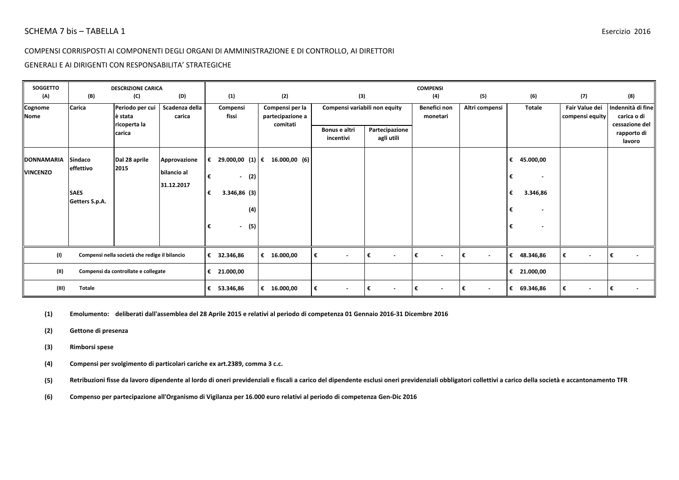### GENERALI E AI DIRIGENTI CON RESPONSABILITA' STRATEGICHE

| <b>SOGGETTO</b>                      |                                                              | <b>DESCRIZIONE CARICA</b>                     |                                           |                                                                         |                                                 |                               |                              | <b>COMPENSI</b>          |                |                                                                                              |                                   |                                                    |
|--------------------------------------|--------------------------------------------------------------|-----------------------------------------------|-------------------------------------------|-------------------------------------------------------------------------|-------------------------------------------------|-------------------------------|------------------------------|--------------------------|----------------|----------------------------------------------------------------------------------------------|-----------------------------------|----------------------------------------------------|
| (A)                                  | (B)                                                          | (C)                                           | (D)                                       | (1)                                                                     | (2)                                             | (3)                           |                              | (4)                      | (5)            | (6)                                                                                          | (7)                               | (8)                                                |
| Cognome<br><b>Nome</b>               | Carica                                                       | Periodo per cui<br>è stata<br>ricoperta la    | Scadenza della<br>carica                  | Compensi<br>fissi                                                       | Compensi per la<br>partecipazione a<br>comitati | Compensi variabili non equity |                              | Benefici non<br>monetari | Altri compensi | <b>Totale</b>                                                                                | Fair Value dei<br>compensi equity | Indennità di fine<br>carica o di<br>cessazione del |
|                                      |                                                              | carica                                        |                                           |                                                                         |                                                 | Bonus e altri<br>incentivi    | Partecipazione<br>agli utili |                          |                |                                                                                              |                                   | rapporto di<br>lavoro                              |
| <b>DONNAMARIA</b><br><b>VINCENZO</b> | <b>Sindaco</b><br>effettivo<br><b>SAES</b><br>Getters S.p.A. | Dal 28 aprile<br>2015                         | Approvazione<br>bilancio al<br>31.12.2017 | 29.000,00 (1) €<br>€<br>$-$ (2)<br>€<br>3.346,86(3)<br>€<br>€<br>$\sim$ | 16.000,00 (6)<br>(4)<br>(5)                     |                               |                              |                          |                | 45.000,00<br>€<br>€<br>$\overline{\phantom{a}}$<br>3.346,86<br>€<br>€<br>$\blacksquare$<br>€ |                                   |                                                    |
| (1)                                  |                                                              | Compensi nella società che redige il bilancio |                                           | € 32.346,86                                                             | € 16.000,00                                     | €<br>$\sim$                   | l€<br>$\sim$                 | €<br>$\blacksquare$      | €<br>$\sim$    | € 48.346,86                                                                                  | $\sim$                            | €<br>$\blacksquare$                                |
| (II)                                 | Compensi da controllate e collegate                          |                                               |                                           | € 21.000,00                                                             |                                                 |                               |                              |                          |                | 21.000,00<br>€                                                                               |                                   |                                                    |
| (III)                                | <b>Totale</b>                                                |                                               |                                           | 53.346,86<br>€                                                          | € 16.000,00                                     | €<br>$\sim$                   | l€<br>$\sim$                 | €<br>$\blacksquare$      | €<br>$\sim$    | 69.346,86<br>€                                                                               | $\blacksquare$                    | €<br>$\blacksquare$                                |

**(1) Emolumento:deliberati dall'assemblea del 28 Aprile 2015 e relativi al periodo di competenza 01 Gennaio 2016-31 Dicembre 2016**

- **(2) Gettone di presenza**
- **(3) Rimborsi spese**

**(4) Compensi per svolgimento di particolari cariche ex art.2389, comma 3 c.c.**

**(5) Retribuzioni fisse da lavoro dipendente al lordo di oneri previdenziali e fiscali a carico del dipendente esclusi oneri previdenziali obbligatori collettivi a carico della società e accantonamento TFR**

**(6) Compenso per partecipazione all'Organismo di Vigilanza per 16.000 euro relativi al periodo di competenza Gen-Dic 2016**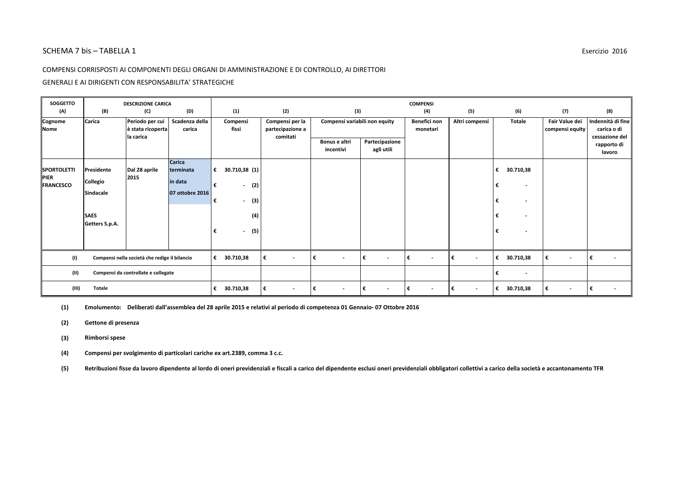#### COMPENSI CORRISPOSTI AI COMPONENTI DEGLI ORGANI DI AMMINISTRAZIONE E DI CONTROLLO, AI DIRETTORI

#### GENERALI E AI DIRIGENTI CON RESPONSABILITA' STRATEGICHE

| <b>SOGGETTO</b>                                       |                                                                      | <b>DESCRIZIONE CARICA</b>                         |                                                          |                                                                                                                                 |                                                 |                               |                              | <b>COMPENSI</b>               |                               |                                                                                                                                                    |                                   |                                                    |
|-------------------------------------------------------|----------------------------------------------------------------------|---------------------------------------------------|----------------------------------------------------------|---------------------------------------------------------------------------------------------------------------------------------|-------------------------------------------------|-------------------------------|------------------------------|-------------------------------|-------------------------------|----------------------------------------------------------------------------------------------------------------------------------------------------|-----------------------------------|----------------------------------------------------|
| (A)                                                   | (B)                                                                  | (C)                                               | (D)                                                      | (1)                                                                                                                             | (2)                                             | (3)                           |                              | (4)                           | (5)                           | (6)                                                                                                                                                | (7)                               | (8)                                                |
| Cognome<br>Nome                                       | Carica                                                               | Periodo per cui<br>è stata ricoperta<br>la carica | Scadenza della<br>carica                                 | Compensi<br>fissi                                                                                                               | Compensi per la<br>partecipazione a<br>comitati | Compensi variabili non equity |                              | Benefici non<br>monetari      | Altri compensi                | <b>Totale</b>                                                                                                                                      | Fair Value dei<br>compensi equity | Indennità di fine<br>carica o di<br>cessazione del |
|                                                       |                                                                      |                                                   |                                                          |                                                                                                                                 |                                                 | Bonus e altri<br>incentivi    | Partecipazione<br>agli utili |                               |                               |                                                                                                                                                    |                                   | rapporto di<br>lavoro                              |
| <b>SPORTOLETTI</b><br><b>PIER</b><br><b>FRANCESCO</b> | Presidente<br>Collegio<br>Sindacale<br><b>SAES</b><br>Getters S.p.A. | Dal 28 aprile<br>2015                             | <b>Carica</b><br>terminata<br>in data<br>07 ottobre 2016 | 30.710,38 (1)<br>€<br>€<br>(2)<br>$\overline{\phantom{a}}$<br>(3)<br>€<br>$\overline{\phantom{a}}$<br>(4)<br>(5)<br>€<br>$\sim$ |                                                 |                               |                              |                               |                               | €<br>30.710,38<br>€<br>$\overline{\phantom{a}}$<br>€<br>$\overline{\phantom{a}}$<br>€<br>$\overline{\phantom{a}}$<br>€<br>$\overline{\phantom{a}}$ |                                   |                                                    |
| (1)                                                   |                                                                      | Compensi nella società che redige il bilancio     |                                                          | €<br>30.710,38                                                                                                                  | €<br>$\overline{\phantom{a}}$                   | €<br>$\overline{\phantom{a}}$ | l€<br>$\sim$                 | €<br>$\overline{\phantom{a}}$ | €<br>$\sim$                   | 30.710,38<br>€                                                                                                                                     | €<br>$\sim$                       | €<br>$\overline{a}$                                |
| (II)                                                  | Compensi da controllate e collegate                                  |                                                   |                                                          |                                                                                                                                 |                                                 |                               |                              |                               |                               | €<br>$\overline{\phantom{a}}$                                                                                                                      |                                   |                                                    |
| (III)                                                 | <b>Totale</b>                                                        |                                                   |                                                          | 30.710,38<br>€                                                                                                                  | €<br>$\overline{\phantom{a}}$                   | €<br>$\overline{\phantom{a}}$ | ∣€<br>$\sim$                 | €<br>$\overline{\phantom{a}}$ | €<br>$\overline{\phantom{a}}$ | 30.710,38<br>€                                                                                                                                     | €<br>$\sim$                       | €                                                  |

**(1) Emolumento:Deliberati dall'assemblea del 28 aprile 2015 e relativi al periodo di competenza 01 Gennaio- 07 Ottobre 2016**

- **(3) Rimborsi spese**
- **(4) Compensi per svolgimento di particolari cariche ex art.2389, comma 3 c.c.**

**<sup>(2)</sup> Gettone di presenza**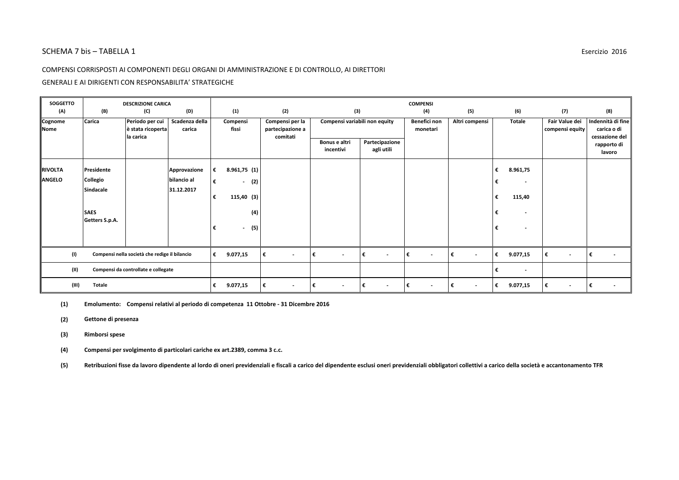#### COMPENSI CORRISPOSTI AI COMPONENTI DEGLI ORGANI DI AMMINISTRAZIONE E DI CONTROLLO, AI DIRETTORI

#### GENERALI E AI DIRIGENTI CON RESPONSABILITA' STRATEGICHE

| <b>SOGGETTO</b><br>(A)          | (B)                                                                  | <b>DESCRIZIONE CARICA</b><br>(C)                  | (D)                                       | (1)                                                                                   | (2)                                             | (3)                                            |                               | <b>COMPENSI</b><br>(4)        | (5)                           | (6)                                                                          | (7)                               | (8)                                                |
|---------------------------------|----------------------------------------------------------------------|---------------------------------------------------|-------------------------------------------|---------------------------------------------------------------------------------------|-------------------------------------------------|------------------------------------------------|-------------------------------|-------------------------------|-------------------------------|------------------------------------------------------------------------------|-----------------------------------|----------------------------------------------------|
| Cognome<br>Nome                 | Carica                                                               | Periodo per cui<br>è stata ricoperta<br>la carica | Scadenza della<br>carica                  | Compensi<br>fissi                                                                     | Compensi per la<br>partecipazione a<br>comitati | Compensi variabili non equity<br>Bonus e altri | Partecipazione                | Benefici non<br>monetari      | Altri compensi                | Totale                                                                       | Fair Value dei<br>compensi equity | Indennità di fine<br>carica o di<br>cessazione del |
|                                 |                                                                      |                                                   |                                           |                                                                                       |                                                 | incentivi                                      | agli utili                    |                               |                               |                                                                              |                                   | rapporto di<br>lavoro                              |
| <b>RIVOLTA</b><br><b>ANGELO</b> | Presidente<br>Collegio<br>Sindacale<br><b>SAES</b><br>Getters S.p.A. |                                                   | Approvazione<br>bilancio al<br>31.12.2017 | 8.961,75(1)<br>€<br>(2)<br>€<br>$\sim$<br>115,40(3)<br>€<br>(4)<br>(5)<br>€<br>$\sim$ |                                                 |                                                |                               |                               |                               | 8.961,75<br>€<br>€<br>115,40<br>€<br>€<br>$\overline{\phantom{0}}$<br>€<br>٠ |                                   |                                                    |
| (1)                             | Compensi nella società che redige il bilancio                        |                                                   |                                           | €<br>9.077,15                                                                         | €<br>$\sim$                                     | I€<br>$\sim$                                   | €<br>$\sim$                   | l€<br>$\sim$                  | €<br>$\overline{\phantom{a}}$ | €<br>9.077,15                                                                | €<br>$\sim$                       | l€<br>$\overline{\phantom{a}}$                     |
| (II)                            | Compensi da controllate e collegate                                  |                                                   |                                           |                                                                                       |                                                 |                                                |                               |                               |                               | €<br>$\overline{\phantom{a}}$                                                |                                   |                                                    |
| (III)                           | <b>Totale</b>                                                        |                                                   |                                           | €<br>9.077,15                                                                         | €<br>$\overline{\phantom{a}}$                   | €<br>$\overline{\phantom{a}}$                  | €<br>$\overline{\phantom{a}}$ | €<br>$\overline{\phantom{a}}$ | €<br>$\overline{\phantom{a}}$ | 9.077,15<br>€                                                                | €<br>$\sim$                       | l€<br>$\sim$                                       |

**(1) Emolumento:Compensi relativi al periodo di competenza 11 Ottobre - 31 Dicembre 2016**

- **(2) Gettone di presenza**
- **(3) Rimborsi spese**
- **(4) Compensi per svolgimento di particolari cariche ex art.2389, comma 3 c.c.**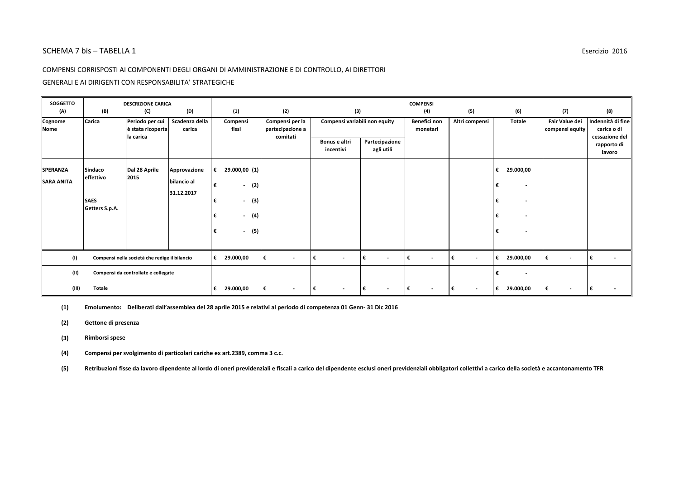#### COMPENSI CORRISPOSTI AI COMPONENTI DEGLI ORGANI DI AMMINISTRAZIONE E DI CONTROLLO, AI DIRETTORI

#### GENERALI E AI DIRIGENTI CON RESPONSABILITA' STRATEGICHE

| <b>SOGGETTO</b>                      |                                                              | <b>DESCRIZIONE CARICA</b>                         |                                           |                                                                                                                                                |                                                 |                               |                              | <b>COMPENSI</b>               |                               |                                                                                                                                                    |                                   |                                                    |
|--------------------------------------|--------------------------------------------------------------|---------------------------------------------------|-------------------------------------------|------------------------------------------------------------------------------------------------------------------------------------------------|-------------------------------------------------|-------------------------------|------------------------------|-------------------------------|-------------------------------|----------------------------------------------------------------------------------------------------------------------------------------------------|-----------------------------------|----------------------------------------------------|
| (A)                                  | (B)                                                          | (C)                                               | (D)                                       | (1)                                                                                                                                            | (2)                                             | (3)                           |                              | (4)                           | (5)                           | (6)                                                                                                                                                | (7)                               | (8)                                                |
| Cognome<br>Nome                      | Carica                                                       | Periodo per cui<br>è stata ricoperta<br>la carica | Scadenza della<br>carica                  | Compensi<br>fissi                                                                                                                              | Compensi per la<br>partecipazione a<br>comitati | Compensi variabili non equity |                              | Benefici non<br>monetari      | Altri compensi                | <b>Totale</b>                                                                                                                                      | Fair Value dei<br>compensi equity | Indennità di fine<br>carica o di<br>cessazione del |
|                                      |                                                              |                                                   |                                           |                                                                                                                                                |                                                 | Bonus e altri<br>incentivi    | Partecipazione<br>agli utili |                               |                               |                                                                                                                                                    |                                   | rapporto di<br>lavoro                              |
| <b>SPERANZA</b><br><b>SARA ANITA</b> | <b>Sindaco</b><br>effettivo<br><b>SAES</b><br>Getters S.p.A. | Dal 28 Aprile<br>2015                             | Approvazione<br>bilancio al<br>31.12.2017 | €<br>29.000,00 (1)<br>€<br>(2)<br>$\sim$<br>(3)<br>€<br>$\overline{\phantom{a}}$<br>(4)<br>€<br>$\overline{\phantom{a}}$<br>(5)<br>€<br>$\sim$ |                                                 |                               |                              |                               |                               | 29.000,00<br>€<br>€<br>$\overline{\phantom{a}}$<br>€<br>$\overline{\phantom{a}}$<br>€<br>$\overline{\phantom{a}}$<br>€<br>$\overline{\phantom{a}}$ |                                   |                                                    |
| (1)                                  |                                                              | Compensi nella società che redige il bilancio     |                                           | €<br>29.000,00                                                                                                                                 | €<br>$\overline{\phantom{a}}$                   | €<br>$\sim$                   | l€<br>$\sim$                 | €<br>$\overline{\phantom{a}}$ | €<br>$\overline{\phantom{a}}$ | €<br>29.000,00                                                                                                                                     | €<br>$\sim$                       | €<br>$\overline{\phantom{a}}$                      |
| (II)                                 |                                                              | Compensi da controllate e collegate               |                                           |                                                                                                                                                |                                                 |                               |                              |                               |                               | €<br>$\overline{\phantom{a}}$                                                                                                                      |                                   |                                                    |
| (III)                                | <b>Totale</b>                                                |                                                   |                                           | 29.000,00<br>€                                                                                                                                 | €<br>$\overline{\phantom{a}}$                   | €<br>$\overline{\phantom{a}}$ | l€<br>$\sim$                 | €<br>$\overline{\phantom{a}}$ | €<br>$\overline{\phantom{a}}$ | 29.000,00<br>€                                                                                                                                     | €<br>$\sim$                       | €                                                  |

**(1) Emolumento:Deliberati dall'assemblea del 28 aprile 2015 e relativi al periodo di competenza 01 Genn- 31 Dic 2016**

- **(3) Rimborsi spese**
- **(4) Compensi per svolgimento di particolari cariche ex art.2389, comma 3 c.c.**

**<sup>(2)</sup> Gettone di presenza**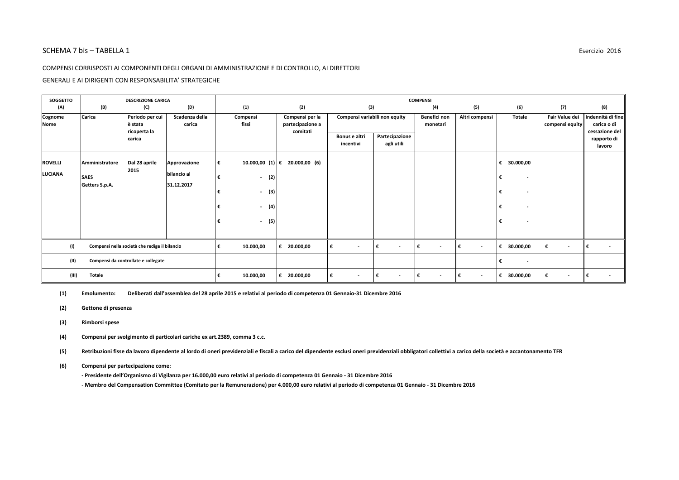#### COMPENSI CORRISPOSTI AI COMPONENTI DEGLI ORGANI DI AMMINISTRAZIONE E DI CONTROLLO, AI DIRETTORI

GENERALI E AI DIRIGENTI CON RESPONSABILITA' STRATEGICHE

| <b>SOGGETTO</b>        | <b>DESCRIZIONE CARICA</b> |                                               |                           | <b>COMPENSI</b>   |                                 |                                                 |                               |                               |                                |                               |                               |                                   |                                                    |
|------------------------|---------------------------|-----------------------------------------------|---------------------------|-------------------|---------------------------------|-------------------------------------------------|-------------------------------|-------------------------------|--------------------------------|-------------------------------|-------------------------------|-----------------------------------|----------------------------------------------------|
| (A)                    | (B)                       | (C)                                           | (D)                       | (1)               |                                 | (2)                                             | (3)                           |                               | (4)                            | (5)                           | (6)                           | (7)                               | (8)                                                |
| Cognome<br><b>Nome</b> | Carica                    | Periodo per cui<br>è stata<br>ricoperta la    | Scadenza della<br>carica  | Compensi<br>fissi |                                 | Compensi per la<br>partecipazione a<br>comitati | Compensi variabili non equity |                               | Benefici non<br>monetari       | Altri compensi                | <b>Totale</b>                 | Fair Value dei<br>compensi equity | Indennità di fine<br>carica o di<br>cessazione del |
|                        |                           | carica                                        |                           |                   |                                 |                                                 | Bonus e altri<br>incentivi    | Partecipazione<br>agli utili  |                                |                               |                               |                                   | rapporto di<br>lavoro                              |
| <b>ROVELLI</b>         | Amministratore            | Dal 28 aprile                                 | Approvazione              | €                 | 10.000,00 (1) €                 | 20.000,00 (6)                                   |                               |                               |                                |                               | 30.000,00<br>€                |                                   |                                                    |
| LUCIANA                | <b>SAES</b>               | 2015                                          | bilancio al<br>31.12.2017 | €                 | (2)<br>$\overline{\phantom{a}}$ |                                                 |                               |                               |                                |                               | €<br>$\overline{\phantom{a}}$ |                                   |                                                    |
|                        | Getters S.p.A.            |                                               |                           |                   | (3)<br>$\blacksquare$           |                                                 |                               |                               |                                |                               | €<br>$\overline{\phantom{a}}$ |                                   |                                                    |
|                        |                           |                                               |                           |                   | (4)<br>$\overline{\phantom{a}}$ |                                                 |                               |                               |                                |                               | €<br>$\overline{\phantom{a}}$ |                                   |                                                    |
|                        |                           |                                               |                           | €                 | (5)<br>$\overline{\phantom{a}}$ |                                                 |                               |                               |                                |                               | €<br>$\overline{\phantom{a}}$ |                                   |                                                    |
|                        |                           |                                               |                           |                   |                                 |                                                 |                               |                               |                                |                               |                               |                                   |                                                    |
| (1)                    |                           | Compensi nella società che redige il bilancio |                           | €                 | 10.000,00                       | € 20.000,00                                     | $\overline{\phantom{a}}$      | €<br>$\overline{\phantom{a}}$ | ∣€<br>$\overline{\phantom{a}}$ | €<br>$\overline{\phantom{a}}$ | € 30.000,00                   | €<br>$\overline{\phantom{a}}$     |                                                    |
| (II)                   |                           | Compensi da controllate e collegate           |                           |                   |                                 |                                                 |                               |                               |                                |                               | $\sim$                        |                                   |                                                    |
| (III)                  | <b>Totale</b>             |                                               |                           | €                 | 10.000,00                       | €<br>20.000,00                                  | €<br>$\overline{\phantom{a}}$ | €<br>$\sim$                   | ∣€<br>$\overline{\phantom{a}}$ | €<br>$\overline{\phantom{a}}$ | € 30.000,00                   | €<br>$\blacksquare$               |                                                    |

**(1) Emolumento:Deliberati dall'assemblea del 28 aprile 2015 e relativi al periodo di competenza 01 Gennaio-31 Dicembre 2016**

- **(2) Gettone di presenza**
- **(3) Rimborsi spese**
- **(4) Compensi per svolgimento di particolari cariche ex art.2389, comma 3 c.c.**
- **(5) Retribuzioni fisse da lavoro dipendente al lordo di oneri previdenziali e fiscali a carico del dipendente esclusi oneri previdenziali obbligatori collettivi a carico della società e accantonamento TFR**
- **(6) Compensi per partecipazione come:**
	- **Presidente dell'Organismo di Vigilanza per 16.000,00 euro relativi al periodo di competenza 01 Gennaio 31 Dicembre 2016**
	- **Membro del Compensation Committee (Comitato per la Remunerazione) per 4.000,00 euro relativi al periodo di competenza 01 Gennaio 31 Dicembre 2016**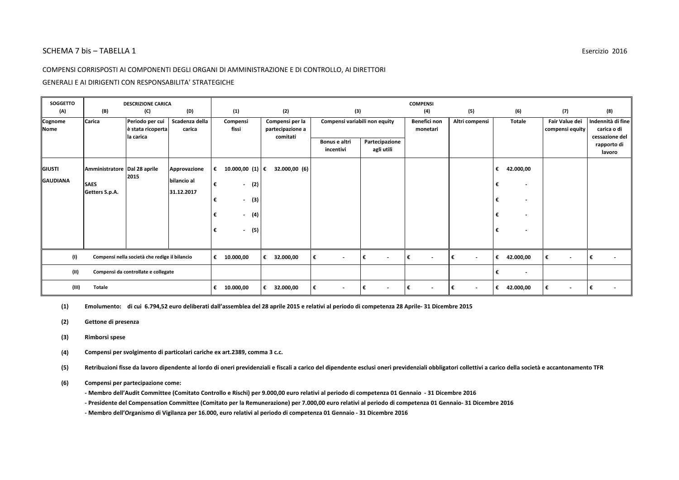#### COMPENSI CORRISPOSTI AI COMPONENTI DEGLI ORGANI DI AMMINISTRAZIONE E DI CONTROLLO, AI DIRETTORI

#### GENERALI E AI DIRIGENTI CON RESPONSABILITA' STRATEGICHE

| <b>SOGGETTO</b>        |                               | <b>DESCRIZIONE CARICA</b>                         |                           |                                                       |                                                 |                               |                              | <b>COMPENSI</b>               |                               |                                                                |                                   |                                                    |
|------------------------|-------------------------------|---------------------------------------------------|---------------------------|-------------------------------------------------------|-------------------------------------------------|-------------------------------|------------------------------|-------------------------------|-------------------------------|----------------------------------------------------------------|-----------------------------------|----------------------------------------------------|
| (A)                    | (B)                           | (C)                                               | (D)                       | (1)                                                   | (2)                                             | (3)                           |                              | (4)                           | (5)                           | (6)                                                            | (7)                               | (8)                                                |
| Cognome<br><b>Nome</b> | Carica                        | Periodo per cui<br>è stata ricoperta<br>la carica | Scadenza della<br>carica  | Compensi<br>fissi                                     | Compensi per la<br>partecipazione a<br>comitati | Compensi variabili non equity |                              | Benefici non<br>monetari      | Altri compensi                | <b>Totale</b>                                                  | Fair Value dei<br>compensi equity | Indennità di fine<br>carica o di<br>cessazione del |
|                        |                               |                                                   |                           |                                                       |                                                 | Bonus e altri<br>incentivi    | Partecipazione<br>agli utili |                               |                               |                                                                |                                   | rapporto di<br>lavoro                              |
| <b>GIUSTI</b>          | Amministratore Dal 28 aprile  | 2015                                              | Approvazione              | 10.000,00 (1) €<br>€                                  | 32.000,00 (6)                                   |                               |                              |                               |                               | 42.000,00<br>€                                                 |                                   |                                                    |
| <b>IGAUDIANA</b>       | <b>SAES</b><br>Getters S.p.A. |                                                   | bilancio al<br>31.12.2017 | €<br>(2)<br>$\overline{\phantom{a}}$                  |                                                 |                               |                              |                               |                               | €                                                              |                                   |                                                    |
|                        |                               |                                                   |                           | (3)<br>€<br>$\overline{\phantom{a}}$                  |                                                 |                               |                              |                               |                               | €<br>$\overline{\phantom{a}}$                                  |                                   |                                                    |
|                        |                               |                                                   |                           | (4)<br>$\overline{\phantom{a}}$<br>(5)<br>€<br>$\sim$ |                                                 |                               |                              |                               |                               | €<br>$\overline{\phantom{a}}$<br>€<br>$\overline{\phantom{a}}$ |                                   |                                                    |
|                        |                               |                                                   |                           |                                                       |                                                 |                               |                              |                               |                               |                                                                |                                   |                                                    |
| (1)                    |                               | Compensi nella società che redige il bilancio     |                           | €<br>10.000,00                                        | €<br>32.000,00                                  | €<br>$\overline{\phantom{a}}$ | l€<br>$\sim$                 | €<br>$\overline{\phantom{a}}$ | €<br>$\sim$                   | 42.000,00<br>€                                                 | €<br>$\overline{\phantom{a}}$     | €<br>$\overline{\phantom{a}}$                      |
| (II)                   |                               | Compensi da controllate e collegate               |                           |                                                       |                                                 |                               |                              |                               |                               | €<br>$\overline{\phantom{a}}$                                  |                                   |                                                    |
| (III)                  | <b>Totale</b>                 |                                                   |                           | 10.000,00<br>€                                        | 32.000,00<br>€                                  | €<br>$\overline{\phantom{a}}$ | ∣€<br>$\sim$                 | €<br>$\overline{\phantom{a}}$ | €<br>$\overline{\phantom{a}}$ | 42.000,00<br>€                                                 | €<br>$\sim$                       | €                                                  |

**(1) Emolumento:di cui 6.794,52 euro deliberati dall'assemblea del 28 aprile 2015 e relativi al periodo di competenza 28 Aprile- 31 Dicembre 2015**

- **(2) Gettone di presenza**
- **(3) Rimborsi spese**
- **(4) Compensi per svolgimento di particolari cariche ex art.2389, comma 3 c.c.**

**(5) Retribuzioni fisse da lavoro dipendente al lordo di oneri previdenziali e fiscali a carico del dipendente esclusi oneri previdenziali obbligatori collettivi a carico della società e accantonamento TFR**

#### **(6) Compensi per partecipazione come:**

**- Membro dell'Audit Committee (Comitato Controllo e Rischi) per 9.000,00 euro relativi al periodo di competenza 01 Gennaio - 31 Dicembre 2016**

**- Presidente del Compensation Committee (Comitato per la Remunerazione) per 7.000,00 euro relativi al periodo di competenza 01 Gennaio- 31 Dicembre 2016**

**- Membro dell'Organismo di Vigilanza per 16.000, euro relativi al periodo di competenza 01 Gennaio - 31 Dicembre 2016**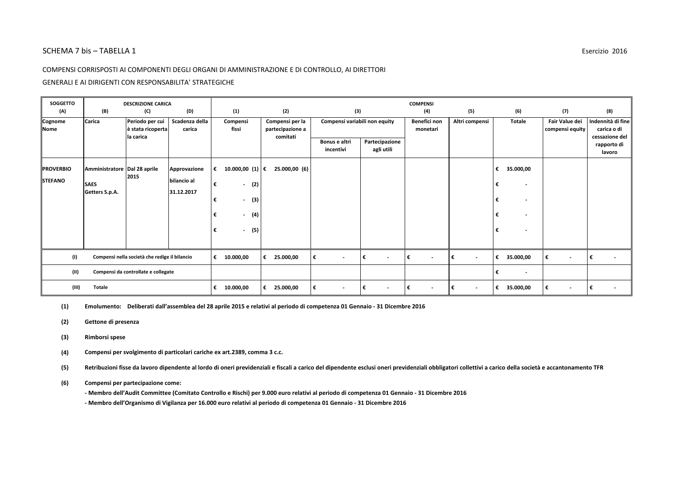#### COMPENSI CORRISPOSTI AI COMPONENTI DEGLI ORGANI DI AMMINISTRAZIONE E DI CONTROLLO, AI DIRETTORI

#### GENERALI E AI DIRIGENTI CON RESPONSABILITA' STRATEGICHE

| <b>SOGGETTO</b>                    |                                             | <b>DESCRIZIONE CARICA</b>                         |                             |                                                            |                                                 |                               |                              | <b>COMPENSI</b>                |                     |                                                 |                                   |                                                    |
|------------------------------------|---------------------------------------------|---------------------------------------------------|-----------------------------|------------------------------------------------------------|-------------------------------------------------|-------------------------------|------------------------------|--------------------------------|---------------------|-------------------------------------------------|-----------------------------------|----------------------------------------------------|
| (A)                                | (B)                                         | (C)                                               | (D)                         | (1)                                                        | (2)                                             | (3)                           |                              | (4)                            | (5)                 | (6)                                             | (7)                               | (8)                                                |
| Cognome<br><b>Nome</b>             | Carica                                      | Periodo per cui<br>è stata ricoperta<br>la carica | Scadenza della<br>carica    | Compensi<br>fissi                                          | Compensi per la<br>partecipazione a<br>comitati | Compensi variabili non equity |                              | Benefici non<br>monetari       | Altri compensi      | <b>Totale</b>                                   | Fair Value dei<br>compensi equity | Indennità di fine<br>carica o di<br>cessazione del |
|                                    |                                             |                                                   |                             |                                                            |                                                 | Bonus e altri<br>incentivi    | Partecipazione<br>agli utili |                                |                     |                                                 |                                   | rapporto di<br>lavoro                              |
| <b>PROVERBIO</b><br><b>STEFANO</b> | Amministratore Dal 28 aprile<br><b>SAES</b> | 2015                                              | Approvazione<br>bilancio al | 10.000,00 (1) €<br>€<br>(2)<br>€<br>$\sim$                 | 25.000,00 (6)                                   |                               |                              |                                |                     | 35.000,00<br>€<br>€<br>$\overline{\phantom{a}}$ |                                   |                                                    |
|                                    | Getters S.p.A.                              |                                                   | 31.12.2017                  | (3)<br>€<br>$\sim$                                         |                                                 |                               |                              |                                |                     | €<br>$\overline{\phantom{a}}$                   |                                   |                                                    |
|                                    |                                             |                                                   |                             | (4)<br>€<br>$\overline{\phantom{a}}$<br>(5)<br>€<br>$\sim$ |                                                 |                               |                              |                                |                     | €<br>€<br>$\overline{\phantom{a}}$              |                                   |                                                    |
|                                    |                                             |                                                   |                             |                                                            |                                                 |                               |                              |                                |                     |                                                 |                                   |                                                    |
| (1)                                |                                             | Compensi nella società che redige il bilancio     |                             | 10.000,00<br>€                                             | 25.000,00<br>€                                  | €<br>$\sim$                   | €<br>$\sim$                  | l€<br>$\overline{\phantom{a}}$ | €<br>$\overline{a}$ | €<br>35.000,00                                  | €<br>$\sim$                       | €<br>$\overline{\phantom{a}}$                      |
| (11)                               |                                             | Compensi da controllate e collegate               |                             |                                                            |                                                 |                               |                              |                                |                     | €<br>$\overline{\phantom{a}}$                   |                                   |                                                    |
| (III)                              | <b>Totale</b>                               |                                                   |                             | 10.000,00<br>€                                             | 25.000,00<br>€                                  | €<br>$\overline{\phantom{a}}$ | €<br>$\sim$                  | €<br>$\overline{\phantom{a}}$  | €                   | €<br>35.000,00                                  | €<br>$\sim$                       | €                                                  |

**(1) Emolumento:Deliberati dall'assemblea del 28 aprile 2015 e relativi al periodo di competenza 01 Gennaio - 31 Dicembre 2016**

- **(2) Gettone di presenza**
- **(3) Rimborsi spese**
- **(4) Compensi per svolgimento di particolari cariche ex art.2389, comma 3 c.c.**

**(5) Retribuzioni fisse da lavoro dipendente al lordo di oneri previdenziali e fiscali a carico del dipendente esclusi oneri previdenziali obbligatori collettivi a carico della società e accantonamento TFR**

#### **(6) Compensi per partecipazione come:**

**- Membro dell'Audit Committee (Comitato Controllo e Rischi) per 9.000 euro relativi al periodo di competenza 01 Gennaio - 31 Dicembre 2016- Membro dell'Organismo di Vigilanza per 16.000 euro relativi al periodo di competenza 01 Gennaio - 31 Dicembre 2016**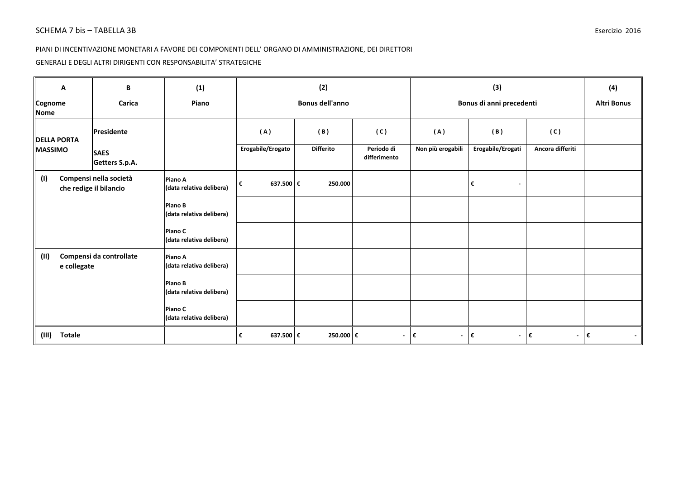### PIANI DI INCENTIVAZIONE MONETARI A FAVORE DEI COMPONENTI DELL' ORGANO DI AMMINISTRAZIONE, DEI DIRETTORI

### GENERALI E DEGLI ALTRI DIRIGENTI CON RESPONSABILITA' STRATEGICHE

| A                      | B                                                | (1)                                 |                   | (2)                    |                            | (3)                  |                                |                   | (4)                |
|------------------------|--------------------------------------------------|-------------------------------------|-------------------|------------------------|----------------------------|----------------------|--------------------------------|-------------------|--------------------|
| Cognome<br>Nome        | Carica                                           | Piano                               |                   | <b>Bonus dell'anno</b> |                            |                      | Bonus di anni precedenti       |                   | <b>Altri Bonus</b> |
| <b>DELLA PORTA</b>     | Presidente                                       |                                     | (A)               | (B)                    | (C)                        | (A)                  | (B)                            | (C)               |                    |
| <b>MASSIMO</b>         | <b>SAES</b><br>Getters S.p.A.                    |                                     | Erogabile/Erogato | <b>Differito</b>       | Periodo di<br>differimento | Non più erogabili    | Erogabile/Erogati              | Ancora differiti  |                    |
| (1)                    | Compensi nella società<br>che redige il bilancio | Piano A<br>(data relativa delibera) | 637.500 €<br>€    | 250.000                |                            |                      | €<br>$\overline{\phantom{a}}$  |                   |                    |
|                        |                                                  | Piano B<br>(data relativa delibera) |                   |                        |                            |                      |                                |                   |                    |
|                        |                                                  | Piano C<br>(data relativa delibera) |                   |                        |                            |                      |                                |                   |                    |
| (II)<br>e collegate    | Compensi da controllate                          | Piano A<br>(data relativa delibera) |                   |                        |                            |                      |                                |                   |                    |
|                        |                                                  | Piano B<br>(data relativa delibera) |                   |                        |                            |                      |                                |                   |                    |
|                        |                                                  | Piano C<br>(data relativa delibera) |                   |                        |                            |                      |                                |                   |                    |
| <b>Totale</b><br>(III) |                                                  |                                     | 637.500 €<br>€    | 250.000 €              | $\blacksquare$             | l€<br>$\blacksquare$ | ∣€<br>$\overline{\phantom{a}}$ | $ \epsilon$<br>∣€ |                    |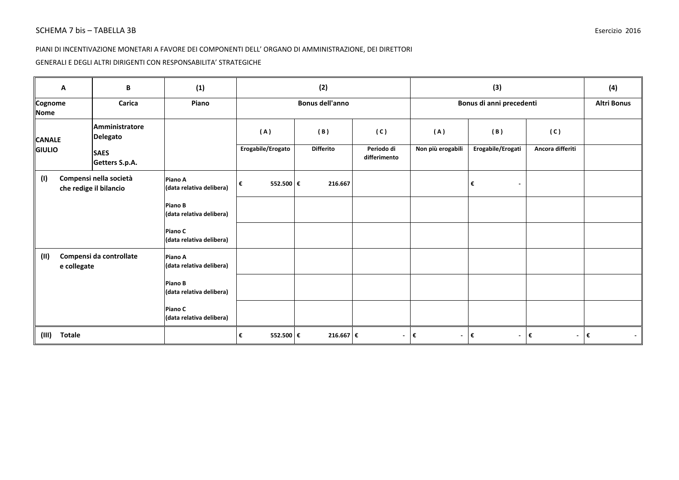### PIANI DI INCENTIVAZIONE MONETARI A FAVORE DEI COMPONENTI DELL' ORGANO DI AMMINISTRAZIONE, DEI DIRETTORI

### GENERALI E DEGLI ALTRI DIRIGENTI CON RESPONSABILITA' STRATEGICHE

| A                      | B                                                | (1)                                 |                   | (2)                    |                            |                      | (3)                            |                  | (4)                |
|------------------------|--------------------------------------------------|-------------------------------------|-------------------|------------------------|----------------------------|----------------------|--------------------------------|------------------|--------------------|
| Cognome<br>Nome        | Carica                                           | Piano                               |                   | <b>Bonus dell'anno</b> |                            |                      | Bonus di anni precedenti       |                  | <b>Altri Bonus</b> |
| <b>CANALE</b>          | Amministratore<br><b>Delegato</b>                |                                     | (A)               | (B)                    | (C)                        | (A)                  | (B)                            | (C)              |                    |
| <b>GIULIO</b>          | <b>SAES</b><br>Getters S.p.A.                    |                                     | Erogabile/Erogato | <b>Differito</b>       | Periodo di<br>differimento | Non più erogabili    | Erogabile/Erogati              | Ancora differiti |                    |
| (1)                    | Compensi nella società<br>che redige il bilancio | Piano A<br>(data relativa delibera) | 552.500 €<br>€    | 216.667                |                            |                      | €<br>$\overline{\phantom{a}}$  |                  |                    |
|                        |                                                  | Piano B<br>(data relativa delibera) |                   |                        |                            |                      |                                |                  |                    |
|                        |                                                  | Piano C<br>(data relativa delibera) |                   |                        |                            |                      |                                |                  |                    |
| (II)<br>e collegate    | Compensi da controllate                          | Piano A<br>(data relativa delibera) |                   |                        |                            |                      |                                |                  |                    |
|                        |                                                  | Piano B<br>(data relativa delibera) |                   |                        |                            |                      |                                |                  |                    |
|                        |                                                  | Piano C<br>(data relativa delibera) |                   |                        |                            |                      |                                |                  |                    |
| <b>Totale</b><br>(III) |                                                  |                                     | 552.500 €<br>€    | 216.667 €              | $\blacksquare$             | l€<br>$\blacksquare$ | ∣€<br>$\overline{\phantom{a}}$ | ∣€               | $ \epsilon$        |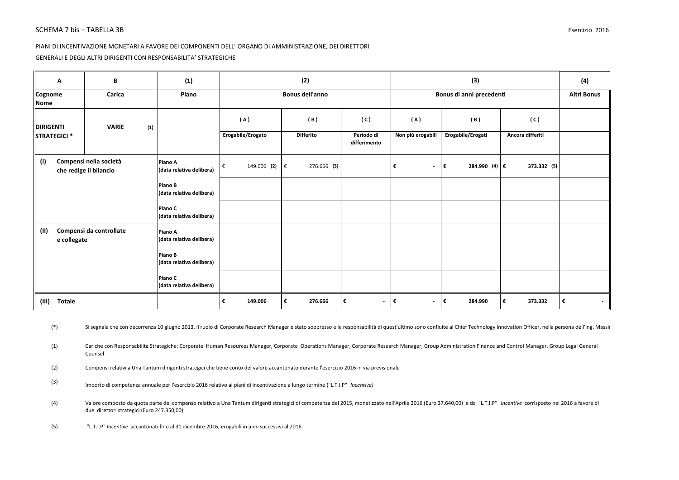#### PIANI DI INCENTIVAZIONE MONETARI A FAVORE DEI COMPONENTI DELL' ORGANO DI AMMINISTRAZIONE, DEI DIRETTORI

GENERALI E DEGLI ALTRI DIRIGENTI CON RESPONSABILITA' STRATEGICHE

| Α                       | В                                                | (1)                                 |                   | (2)         |    |                        |                            |                               | (3)               |                          | (4)              |                    |
|-------------------------|--------------------------------------------------|-------------------------------------|-------------------|-------------|----|------------------------|----------------------------|-------------------------------|-------------------|--------------------------|------------------|--------------------|
| Cognome<br>Nome         | Carica                                           | Piano                               |                   |             |    | <b>Bonus dell'anno</b> |                            |                               |                   | Bonus di anni precedenti |                  | <b>Altri Bonus</b> |
| <b>DIRIGENTI</b>        | (1)<br><b>VARIE</b>                              |                                     |                   | (A)         |    | (B)                    | (C)                        | (A)                           |                   | (B)                      | (C)              |                    |
| STRATEGICI <sup>*</sup> |                                                  |                                     | Erogabile/Erogato |             |    | <b>Differito</b>       | Periodo di<br>differimento | Non più erogabili             | Erogabile/Erogati |                          | Ancora differiti |                    |
| (1)                     | Compensi nella società<br>che redige il bilancio | Piano A<br>(data relativa delibera) | €                 | 149.006 (2) | ∣€ | 276.666 (3)            |                            | €<br>$\overline{\phantom{a}}$ | ∣€                | 284.990 (4) €            | 373.332 (5)      |                    |
|                         |                                                  | Piano B<br>(data relativa delibera) |                   |             |    |                        |                            |                               |                   |                          |                  |                    |
|                         |                                                  | Piano C<br>(data relativa delibera) |                   |             |    |                        |                            |                               |                   |                          |                  |                    |
| (II)<br>e collegate     | Compensi da controllate                          | Piano A<br>(data relativa delibera) |                   |             |    |                        |                            |                               |                   |                          |                  |                    |
|                         |                                                  | Piano B<br>(data relativa delibera) |                   |             |    |                        |                            |                               |                   |                          |                  |                    |
|                         |                                                  | Piano C<br>(data relativa delibera) |                   |             |    |                        |                            |                               |                   |                          |                  |                    |
| (III) Totale            |                                                  |                                     | €                 | 149.006     | €  | 276.666                | €<br>$\blacksquare$        | €<br>$\overline{\phantom{a}}$ | I€                | 284.990                  | 373.332<br>€     | €<br>$\sim$        |

(\*) Si segnala che con decorrenza 10 giugno 2013, il ruolo di Corporate Research Manager è stato soppresso e le responsabilità di quest'ultimo sono confluite al Chief Technology Innovation Officer, nella persona dell'Ing.

(1) Cariche con Responsabilità Strategiche: Corporate Human Resources Manager, Corporate Operations Manager, Corporate Research Manager, Group Administration Finance and Control Manager, Group Legal General Counsel

(2) Compensi relativi a Una Tantum dirigenti strategici che tiene conto del valore accantonato durante l'esercizio 2016 in via previsionale

(3) Importo di competenza annuale per l'esercizio 2016 relativo ai piani di incentivazione a lungo termine ("L.T.I.P" *Incentive)*

(4) Valore composto da quota parte del compenso relativo a Una Tantum dirigenti strategici di competenza del 2015, monetizzato nell'Aprile 2016 (Euro 37.640,00) e da "L.T.I.P" *Incentive* corrisposto nel 2016 a favore di due direttori strategici (Euro 247.350,00)

(5)"L.T.I.P" *Incentive* accantonati fino al 31 dicembre 2016, erogabili in anni successivi al 2016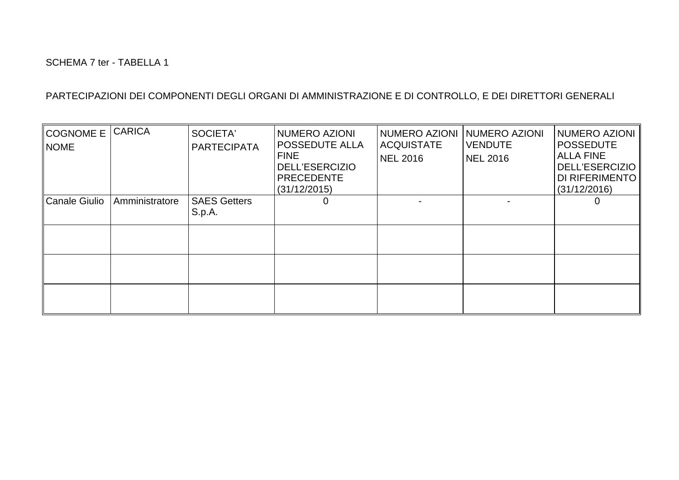| <b>COGNOME E</b><br><b>NOME</b> | <b>CARICA</b>  | SOCIETA'<br><b>PARTECIPATA</b> | <b>NUMERO AZIONI</b><br><b>POSSEDUTE ALLA</b><br><b>FINE</b><br><b>DELL'ESERCIZIO</b><br>PRECEDENTE<br>(31/12/2015) | <b>NUMERO AZIONI</b><br><b>ACQUISTATE</b><br><b>NEL 2016</b> | NUMERO AZIONI<br><b>VENDUTE</b><br>NEL 2016 | NUMERO AZIONI<br><b>POSSEDUTE</b><br><b>ALLA FINE</b><br><b>DELL'ESERCIZIO</b><br>DI RIFERIMENTO<br>(31/12/2016) |
|---------------------------------|----------------|--------------------------------|---------------------------------------------------------------------------------------------------------------------|--------------------------------------------------------------|---------------------------------------------|------------------------------------------------------------------------------------------------------------------|
| <b>Canale Giulio</b>            | Amministratore | <b>SAES Getters</b><br>S.p.A.  | 0                                                                                                                   |                                                              |                                             | C                                                                                                                |
|                                 |                |                                |                                                                                                                     |                                                              |                                             |                                                                                                                  |
|                                 |                |                                |                                                                                                                     |                                                              |                                             |                                                                                                                  |
|                                 |                |                                |                                                                                                                     |                                                              |                                             |                                                                                                                  |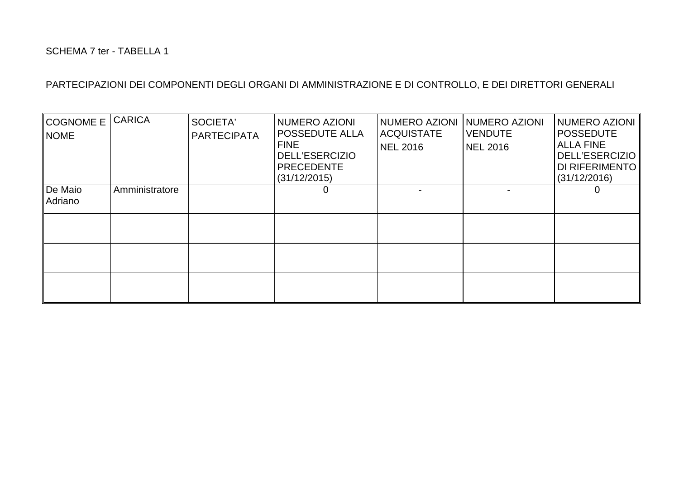| <b>COGNOME E</b><br><b>NOME</b> | <b>CARICA</b>  | SOCIETA'<br><b>PARTECIPATA</b> | <b>NUMERO AZIONI</b><br><b>POSSEDUTE ALLA</b><br><b>FINE</b><br><b>DELL'ESERCIZIO</b><br><b>PRECEDENTE</b><br>(31/12/2015) | <b>NUMERO AZIONI</b><br><b>ACQUISTATE</b><br><b>NEL 2016</b> | NUMERO AZIONI<br><b>VENDUTE</b><br>NEL 2016 | <b>NUMERO AZIONI</b><br><b>POSSEDUTE</b><br><b>ALLA FINE</b><br><b>DELL'ESERCIZIO</b><br>DI RIFERIMENTO<br>(31/12/2016) |
|---------------------------------|----------------|--------------------------------|----------------------------------------------------------------------------------------------------------------------------|--------------------------------------------------------------|---------------------------------------------|-------------------------------------------------------------------------------------------------------------------------|
| De Maio<br>Adriano              | Amministratore |                                | 0                                                                                                                          |                                                              |                                             | O                                                                                                                       |
|                                 |                |                                |                                                                                                                            |                                                              |                                             |                                                                                                                         |
|                                 |                |                                |                                                                                                                            |                                                              |                                             |                                                                                                                         |
|                                 |                |                                |                                                                                                                            |                                                              |                                             |                                                                                                                         |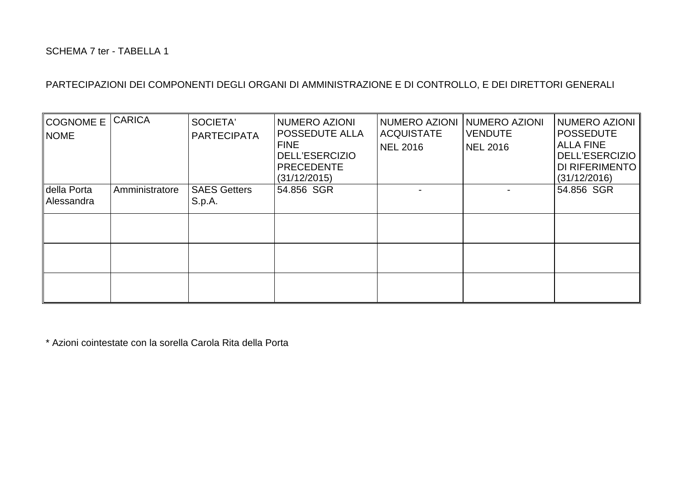| COGNOME E<br>NOME <sup></sup> | <b>CARICA</b>  | SOCIETA'<br><b>PARTECIPATA</b> | NUMERO AZIONI<br>POSSEDUTE ALLA<br><b>FINE</b><br><b>DELL'ESERCIZIO</b><br><b>PRECEDENTE</b><br>(31/12/2015) | <b>NUMERO AZIONI</b><br><b>ACQUISTATE</b><br><b>NEL 2016</b> | NUMERO AZIONI<br><b>VENDUTE</b><br><b>NEL 2016</b> | NUMERO AZIONI<br><b>POSSEDUTE</b><br><b>ALLA FINE</b><br><b>DELL'ESERCIZIO</b><br>DI RIFERIMENTO<br>(31/12/2016) |
|-------------------------------|----------------|--------------------------------|--------------------------------------------------------------------------------------------------------------|--------------------------------------------------------------|----------------------------------------------------|------------------------------------------------------------------------------------------------------------------|
| della Porta<br>Alessandra     | Amministratore | <b>SAES Getters</b><br>S.p.A.  | 54.856 SGR                                                                                                   |                                                              |                                                    | 54.856 SGR                                                                                                       |
|                               |                |                                |                                                                                                              |                                                              |                                                    |                                                                                                                  |
|                               |                |                                |                                                                                                              |                                                              |                                                    |                                                                                                                  |
|                               |                |                                |                                                                                                              |                                                              |                                                    |                                                                                                                  |

\* Azioni cointestate con la sorella Carola Rita della Porta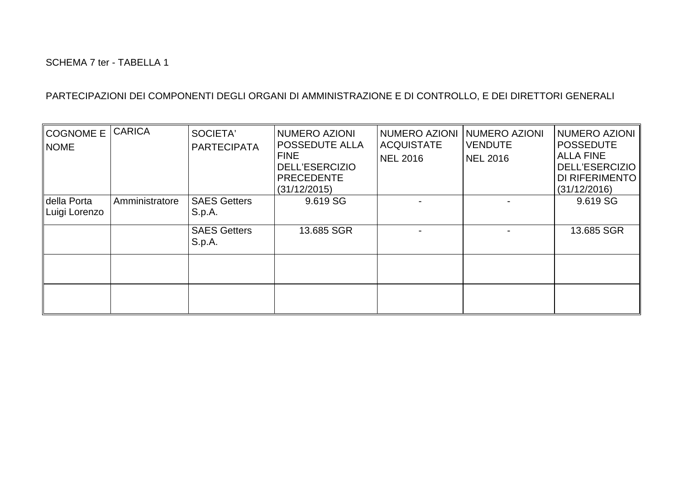| <b>COGNOME E</b><br><b>NOME</b> | <b>CARICA</b>  | SOCIETA'<br><b>PARTECIPATA</b> | NUMERO AZIONI<br><b>POSSEDUTE ALLA</b><br><b>FINE</b><br><b>DELL'ESERCIZIO</b><br><b>PRECEDENTE</b><br>(31/12/2015) | NUMERO AZIONI<br><b>ACQUISTATE</b><br><b>NEL 2016</b> | NUMERO AZIONI<br><b>VENDUTE</b><br><b>NEL 2016</b> | NUMERO AZIONI<br><b>POSSEDUTE</b><br><b>ALLA FINE</b><br><b>DELL'ESERCIZIO</b><br>DI RIFERIMENTO<br>(31/12/2016) |
|---------------------------------|----------------|--------------------------------|---------------------------------------------------------------------------------------------------------------------|-------------------------------------------------------|----------------------------------------------------|------------------------------------------------------------------------------------------------------------------|
| della Porta<br>Luigi Lorenzo    | Amministratore | <b>SAES Getters</b><br>S.p.A.  | 9.619 SG                                                                                                            |                                                       |                                                    | 9.619 SG                                                                                                         |
|                                 |                | <b>SAES Getters</b><br>S.p.A.  | 13.685 SGR                                                                                                          |                                                       |                                                    | 13.685 SGR                                                                                                       |
|                                 |                |                                |                                                                                                                     |                                                       |                                                    |                                                                                                                  |
|                                 |                |                                |                                                                                                                     |                                                       |                                                    |                                                                                                                  |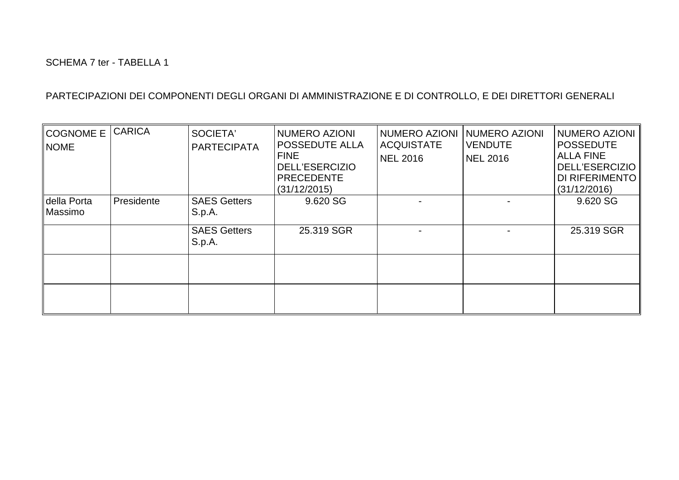| <b>COGNOME E</b><br><b>NOME</b> | <b>CARICA</b> | SOCIETA'<br><b>PARTECIPATA</b> | <b>NUMERO AZIONI</b><br><b>POSSEDUTE ALLA</b><br><b>FINE</b><br><b>DELL'ESERCIZIO</b><br>PRECEDENTE<br>(31/12/2015) | <b>NUMERO AZIONI</b><br><b>ACQUISTATE</b><br><b>NEL 2016</b> | NUMERO AZIONI<br><b>VENDUTE</b><br>NEL 2016 | NUMERO AZIONI<br><b>POSSEDUTE</b><br><b>ALLA FINE</b><br><b>DELL'ESERCIZIO</b><br>DI RIFERIMENTO<br>(31/12/2016) |
|---------------------------------|---------------|--------------------------------|---------------------------------------------------------------------------------------------------------------------|--------------------------------------------------------------|---------------------------------------------|------------------------------------------------------------------------------------------------------------------|
| della Porta<br>Massimo          | Presidente    | <b>SAES Getters</b><br>S.p.A.  | 9.620 SG                                                                                                            |                                                              |                                             | 9.620 SG                                                                                                         |
|                                 |               | <b>SAES Getters</b><br>S.p.A.  | 25.319 SGR                                                                                                          |                                                              |                                             | 25.319 SGR                                                                                                       |
|                                 |               |                                |                                                                                                                     |                                                              |                                             |                                                                                                                  |
|                                 |               |                                |                                                                                                                     |                                                              |                                             |                                                                                                                  |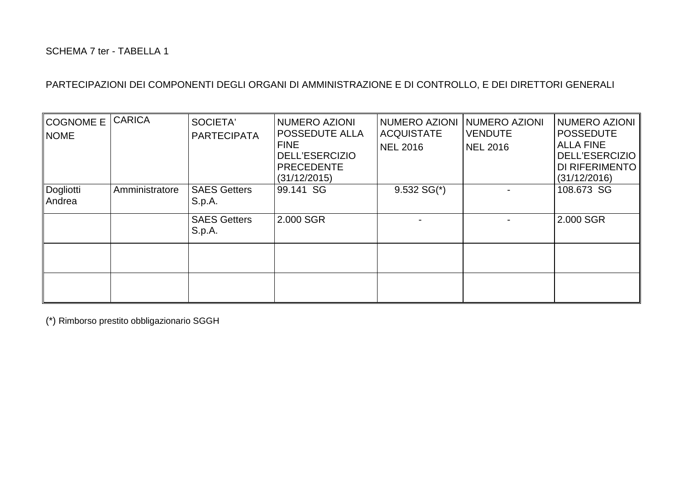| COGNOME E<br><b>NOME</b> | <b>CARICA</b>  | SOCIETA'<br><b>PARTECIPATA</b> | <b>NUMERO AZIONI</b><br><b>POSSEDUTE ALLA</b><br><b>FINE</b><br><b>DELL'ESERCIZIO</b><br><b>PRECEDENTE</b><br>(31/12/2015) | NUMERO AZIONI<br><b>ACQUISTATE</b><br><b>NEL 2016</b> | NUMERO AZIONI<br><b>VENDUTE</b><br><b>NEL 2016</b> | NUMERO AZIONI<br><b>POSSEDUTE</b><br><b>ALLA FINE</b><br>DELL'ESERCIZIO   <br>DI RIFERIMENTO   <br>(31/12/2016) |
|--------------------------|----------------|--------------------------------|----------------------------------------------------------------------------------------------------------------------------|-------------------------------------------------------|----------------------------------------------------|-----------------------------------------------------------------------------------------------------------------|
| Dogliotti<br>Andrea      | Amministratore | <b>SAES Getters</b><br>S.p.A.  | 99.141 SG                                                                                                                  | $9.532 SG*$                                           |                                                    | 108.673 SG                                                                                                      |
|                          |                | <b>SAES Getters</b><br>S.p.A.  | 2.000 SGR                                                                                                                  |                                                       |                                                    | 2.000 SGR                                                                                                       |
|                          |                |                                |                                                                                                                            |                                                       |                                                    |                                                                                                                 |
|                          |                |                                |                                                                                                                            |                                                       |                                                    |                                                                                                                 |

(\*) Rimborso prestito obbligazionario SGGH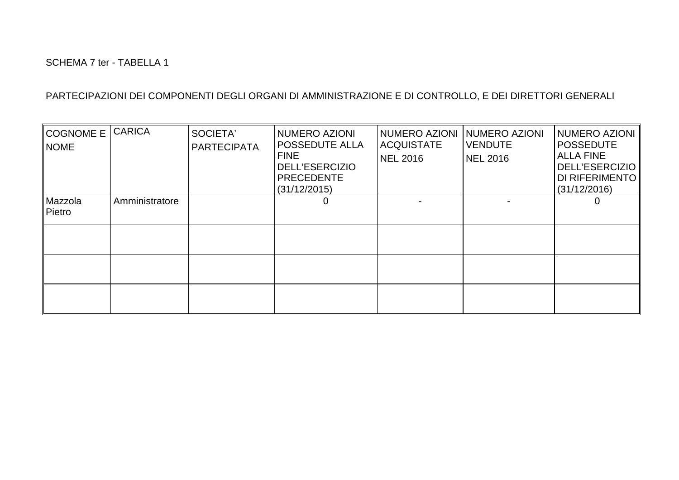| <b>COGNOME E</b><br><b>NOME</b> | <b>CARICA</b>  | SOCIETA'<br><b>PARTECIPATA</b> | NUMERO AZIONI<br><b>POSSEDUTE ALLA</b><br><b>FINE</b><br><b>DELL'ESERCIZIO</b><br><b>PRECEDENTE</b><br>(31/12/2015) | NUMERO AZIONI<br><b>ACQUISTATE</b><br><b>NEL 2016</b> | NUMERO AZIONI<br><b>VENDUTE</b><br><b>NEL 2016</b> | NUMERO AZIONI<br><b>POSSEDUTE</b><br><b>ALLA FINE</b><br><b>DELL'ESERCIZIO</b><br>DI RIFERIMENTO<br>(31/12/2016) |
|---------------------------------|----------------|--------------------------------|---------------------------------------------------------------------------------------------------------------------|-------------------------------------------------------|----------------------------------------------------|------------------------------------------------------------------------------------------------------------------|
| Mazzola<br>Pietro               | Amministratore |                                | 0                                                                                                                   |                                                       |                                                    |                                                                                                                  |
|                                 |                |                                |                                                                                                                     |                                                       |                                                    |                                                                                                                  |
|                                 |                |                                |                                                                                                                     |                                                       |                                                    |                                                                                                                  |
|                                 |                |                                |                                                                                                                     |                                                       |                                                    |                                                                                                                  |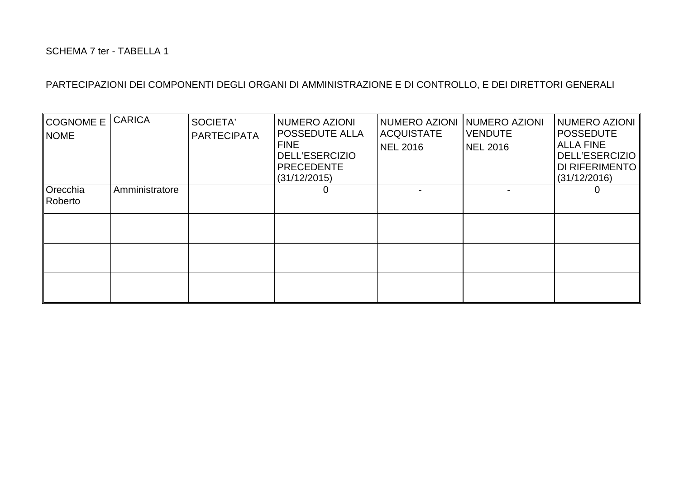| <b>COGNOME E</b><br><b>NOME</b> | <b>CARICA</b>  | SOCIETA'<br><b>PARTECIPATA</b> | NUMERO AZIONI<br><b>POSSEDUTE ALLA</b><br><b>FINE</b><br><b>DELL'ESERCIZIO</b><br><b>PRECEDENTE</b><br>(31/12/2015) | NUMERO AZIONI<br><b>ACQUISTATE</b><br><b>NEL 2016</b> | <b>NUMERO AZIONI</b><br><b>VENDUTE</b><br>NEL 2016 | <b>NUMERO AZIONI</b><br><b>POSSEDUTE</b><br><b>ALLA FINE</b><br><b>DELL'ESERCIZIO</b><br>DI RIFERIMENTO<br>(31/12/2016) |
|---------------------------------|----------------|--------------------------------|---------------------------------------------------------------------------------------------------------------------|-------------------------------------------------------|----------------------------------------------------|-------------------------------------------------------------------------------------------------------------------------|
| Orecchia<br>Roberto             | Amministratore |                                | 0                                                                                                                   |                                                       |                                                    |                                                                                                                         |
|                                 |                |                                |                                                                                                                     |                                                       |                                                    |                                                                                                                         |
|                                 |                |                                |                                                                                                                     |                                                       |                                                    |                                                                                                                         |
|                                 |                |                                |                                                                                                                     |                                                       |                                                    |                                                                                                                         |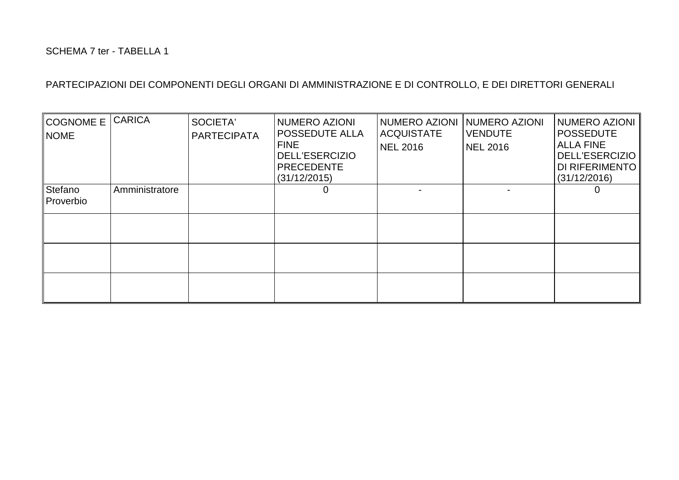| <b>COGNOME E</b><br><b>NOME</b> | <b>CARICA</b>  | SOCIETA'<br><b>PARTECIPATA</b> | NUMERO AZIONI<br><b>POSSEDUTE ALLA</b><br><b>FINE</b><br><b>DELL'ESERCIZIO</b><br>PRECEDENTE<br>(31/12/2015) | NUMERO AZIONI<br><b>ACQUISTATE</b><br><b>NEL 2016</b> | <b>NUMERO AZIONI</b><br><b>VENDUTE</b><br>NEL 2016 | <b>NUMERO AZIONI</b><br><b>POSSEDUTE</b><br><b>ALLA FINE</b><br><b>DELL'ESERCIZIO</b><br>DI RIFERIMENTO<br>(31/12/2016) |
|---------------------------------|----------------|--------------------------------|--------------------------------------------------------------------------------------------------------------|-------------------------------------------------------|----------------------------------------------------|-------------------------------------------------------------------------------------------------------------------------|
| Stefano<br>Proverbio            | Amministratore |                                | 0                                                                                                            |                                                       |                                                    |                                                                                                                         |
|                                 |                |                                |                                                                                                              |                                                       |                                                    |                                                                                                                         |
|                                 |                |                                |                                                                                                              |                                                       |                                                    |                                                                                                                         |
|                                 |                |                                |                                                                                                              |                                                       |                                                    |                                                                                                                         |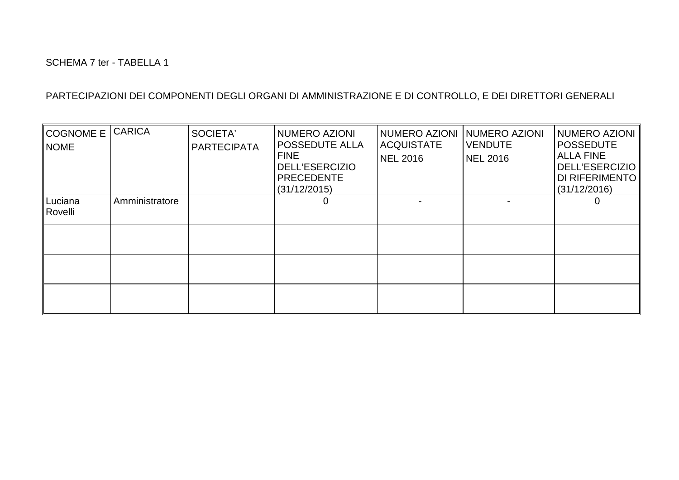| <b>COGNOME E</b><br><b>NOME</b> | <b>CARICA</b>  | SOCIETA'<br><b>PARTECIPATA</b> | NUMERO AZIONI<br><b>POSSEDUTE ALLA</b><br><b>FINE</b><br><b>DELL'ESERCIZIO</b><br><b>PRECEDENTE</b><br>(31/12/2015) | NUMERO AZIONI<br><b>ACQUISTATE</b><br><b>NEL 2016</b> | NUMERO AZIONI<br><b>VENDUTE</b><br><b>NEL 2016</b> | NUMERO AZIONI<br><b>POSSEDUTE</b><br><b>ALLA FINE</b><br><b>DELL'ESERCIZIO</b><br>DI RIFERIMENTO<br>(31/12/2016) |
|---------------------------------|----------------|--------------------------------|---------------------------------------------------------------------------------------------------------------------|-------------------------------------------------------|----------------------------------------------------|------------------------------------------------------------------------------------------------------------------|
| Luciana<br>Rovelli              | Amministratore |                                | 0                                                                                                                   |                                                       |                                                    |                                                                                                                  |
|                                 |                |                                |                                                                                                                     |                                                       |                                                    |                                                                                                                  |
|                                 |                |                                |                                                                                                                     |                                                       |                                                    |                                                                                                                  |
|                                 |                |                                |                                                                                                                     |                                                       |                                                    |                                                                                                                  |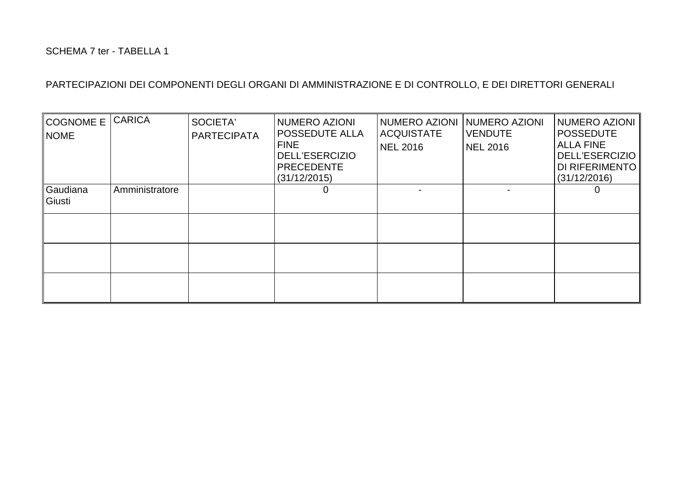| <b>COGNOME E</b><br><b>NOME</b> | <b>CARICA</b>  | SOCIETA'<br><b>PARTECIPATA</b> | NUMERO AZIONI<br><b>POSSEDUTE ALLA</b><br><b>FINE</b><br><b>DELL'ESERCIZIO</b><br><b>PRECEDENTE</b><br>(31/12/2015) | <b>NUMERO AZIONI</b><br><b>ACQUISTATE</b><br><b>NEL 2016</b> | NUMERO AZIONI<br><b>VENDUTE</b><br>NEL 2016 | <b>NUMERO AZIONI</b><br><b>POSSEDUTE</b><br><b>ALLA FINE</b><br><b>DELL'ESERCIZIO</b><br>DI RIFERIMENTO<br>(31/12/2016) |
|---------------------------------|----------------|--------------------------------|---------------------------------------------------------------------------------------------------------------------|--------------------------------------------------------------|---------------------------------------------|-------------------------------------------------------------------------------------------------------------------------|
| Gaudiana<br>Giusti              | Amministratore |                                | 0                                                                                                                   |                                                              |                                             |                                                                                                                         |
|                                 |                |                                |                                                                                                                     |                                                              |                                             |                                                                                                                         |
|                                 |                |                                |                                                                                                                     |                                                              |                                             |                                                                                                                         |
|                                 |                |                                |                                                                                                                     |                                                              |                                             |                                                                                                                         |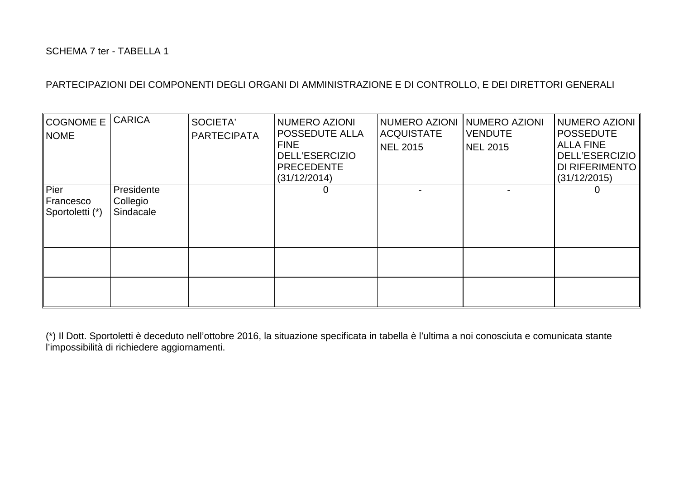| <b>COGNOME E</b><br><b>NOME</b>      | <b>CARICA</b>                       | SOCIETA'<br><b>PARTECIPATA</b> | NUMERO AZIONI<br><b>POSSEDUTE ALLA</b><br><b>FINE</b><br><b>DELL'ESERCIZIO</b><br>PRECEDENTE<br>(31/12/2014) | NUMERO AZIONI<br><b>ACQUISTATE</b><br><b>NEL 2015</b> | <b>NUMERO AZIONI</b><br><b>VENDUTE</b><br><b>NEL 2015</b> | <b>NUMERO AZIONI</b><br><b>POSSEDUTE</b><br><b>ALLA FINE</b><br><b>DELL'ESERCIZIO</b><br>DI RIFERIMENTO<br>(31/12/2015) |
|--------------------------------------|-------------------------------------|--------------------------------|--------------------------------------------------------------------------------------------------------------|-------------------------------------------------------|-----------------------------------------------------------|-------------------------------------------------------------------------------------------------------------------------|
| Pier<br>Francesco<br>Sportoletti (*) | Presidente<br>Collegio<br>Sindacale |                                | 0                                                                                                            |                                                       |                                                           | O                                                                                                                       |
|                                      |                                     |                                |                                                                                                              |                                                       |                                                           |                                                                                                                         |

(\*) Il Dott. Sportoletti è deceduto nell'ottobre 2016, la situazione specificata in tabella è l'ultima a noi conosciuta e comunicata stante l'impossibilità di richiedere aggiornamenti.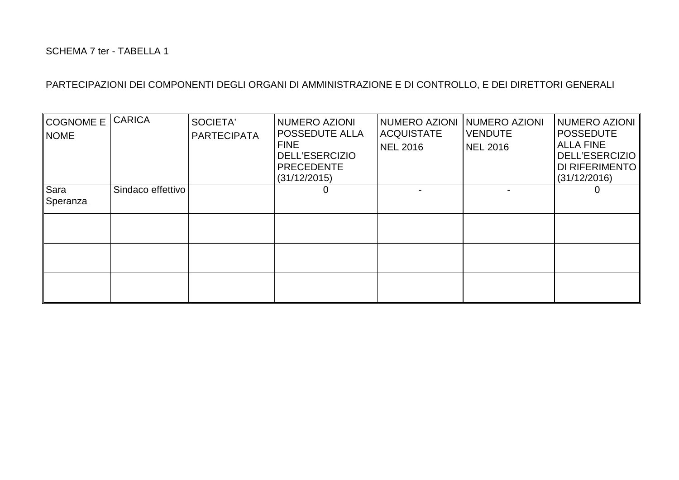| <b>COGNOME E</b><br><b>NOME</b> | <b>CARICA</b>     | SOCIETA'<br><b>PARTECIPATA</b> | NUMERO AZIONI<br>POSSEDUTE ALLA<br><b>FINE</b><br><b>DELL'ESERCIZIO</b><br><b>PRECEDENTE</b><br>(31/12/2015) | NUMERO AZIONI<br><b>ACQUISTATE</b><br><b>NEL 2016</b> | NUMERO AZIONI<br><b>VENDUTE</b><br><b>NEL 2016</b> | <b>NUMERO AZIONI</b><br><b>POSSEDUTE</b><br><b>ALLA FINE</b><br><b>DELL'ESERCIZIO</b><br>DI RIFERIMENTO<br>(31/12/2016) |
|---------------------------------|-------------------|--------------------------------|--------------------------------------------------------------------------------------------------------------|-------------------------------------------------------|----------------------------------------------------|-------------------------------------------------------------------------------------------------------------------------|
| Sara<br>Speranza                | Sindaco effettivo |                                | 0                                                                                                            |                                                       |                                                    |                                                                                                                         |
|                                 |                   |                                |                                                                                                              |                                                       |                                                    |                                                                                                                         |
|                                 |                   |                                |                                                                                                              |                                                       |                                                    |                                                                                                                         |
|                                 |                   |                                |                                                                                                              |                                                       |                                                    |                                                                                                                         |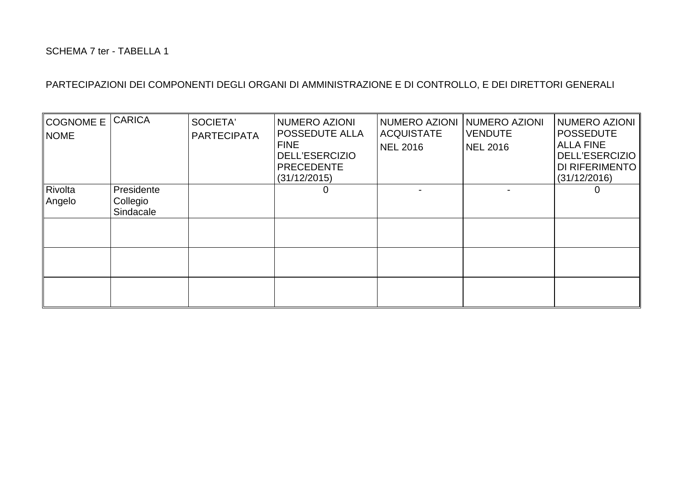| <b>COGNOME E</b><br><b>NOME</b> | <b>CARICA</b>                       | SOCIETA'<br><b>PARTECIPATA</b> | NUMERO AZIONI<br><b>POSSEDUTE ALLA</b><br><b>FINE</b><br><b>DELL'ESERCIZIO</b><br><b>PRECEDENTE</b><br>(31/12/2015) | NUMERO AZIONI<br><b>ACQUISTATE</b><br><b>NEL 2016</b> | NUMERO AZIONI<br><b>VENDUTE</b><br><b>NEL 2016</b> | <b>NUMERO AZIONI</b><br><b>POSSEDUTE</b><br><b>ALLA FINE</b><br><b>DELL'ESERCIZIO</b><br>DI RIFERIMENTO<br>(31/12/2016) |
|---------------------------------|-------------------------------------|--------------------------------|---------------------------------------------------------------------------------------------------------------------|-------------------------------------------------------|----------------------------------------------------|-------------------------------------------------------------------------------------------------------------------------|
| Rivolta<br>Angelo               | Presidente<br>Collegio<br>Sindacale |                                | 0                                                                                                                   |                                                       |                                                    |                                                                                                                         |
|                                 |                                     |                                |                                                                                                                     |                                                       |                                                    |                                                                                                                         |
|                                 |                                     |                                |                                                                                                                     |                                                       |                                                    |                                                                                                                         |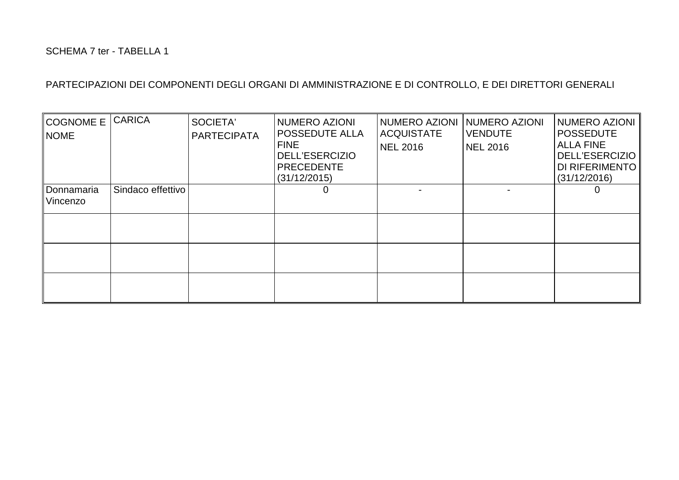| <b>COGNOME E</b><br><b>NOME</b> | <b>CARICA</b>     | SOCIETA'<br><b>PARTECIPATA</b> | NUMERO AZIONI<br><b>POSSEDUTE ALLA</b><br><b>FINE</b><br><b>DELL'ESERCIZIO</b><br>PRECEDENTE<br>(31/12/2015) | NUMERO AZIONI<br><b>ACQUISTATE</b><br><b>NEL 2016</b> | <b>NUMERO AZIONI</b><br><b>VENDUTE</b><br>NEL 2016 | <b>NUMERO AZIONI</b><br><b>POSSEDUTE</b><br><b>ALLA FINE</b><br><b>DELL'ESERCIZIO</b><br>DI RIFERIMENTO<br>(31/12/2016) |
|---------------------------------|-------------------|--------------------------------|--------------------------------------------------------------------------------------------------------------|-------------------------------------------------------|----------------------------------------------------|-------------------------------------------------------------------------------------------------------------------------|
| Donnamaria<br>Vincenzo          | Sindaco effettivo |                                | O                                                                                                            |                                                       |                                                    |                                                                                                                         |
|                                 |                   |                                |                                                                                                              |                                                       |                                                    |                                                                                                                         |
|                                 |                   |                                |                                                                                                              |                                                       |                                                    |                                                                                                                         |
|                                 |                   |                                |                                                                                                              |                                                       |                                                    |                                                                                                                         |